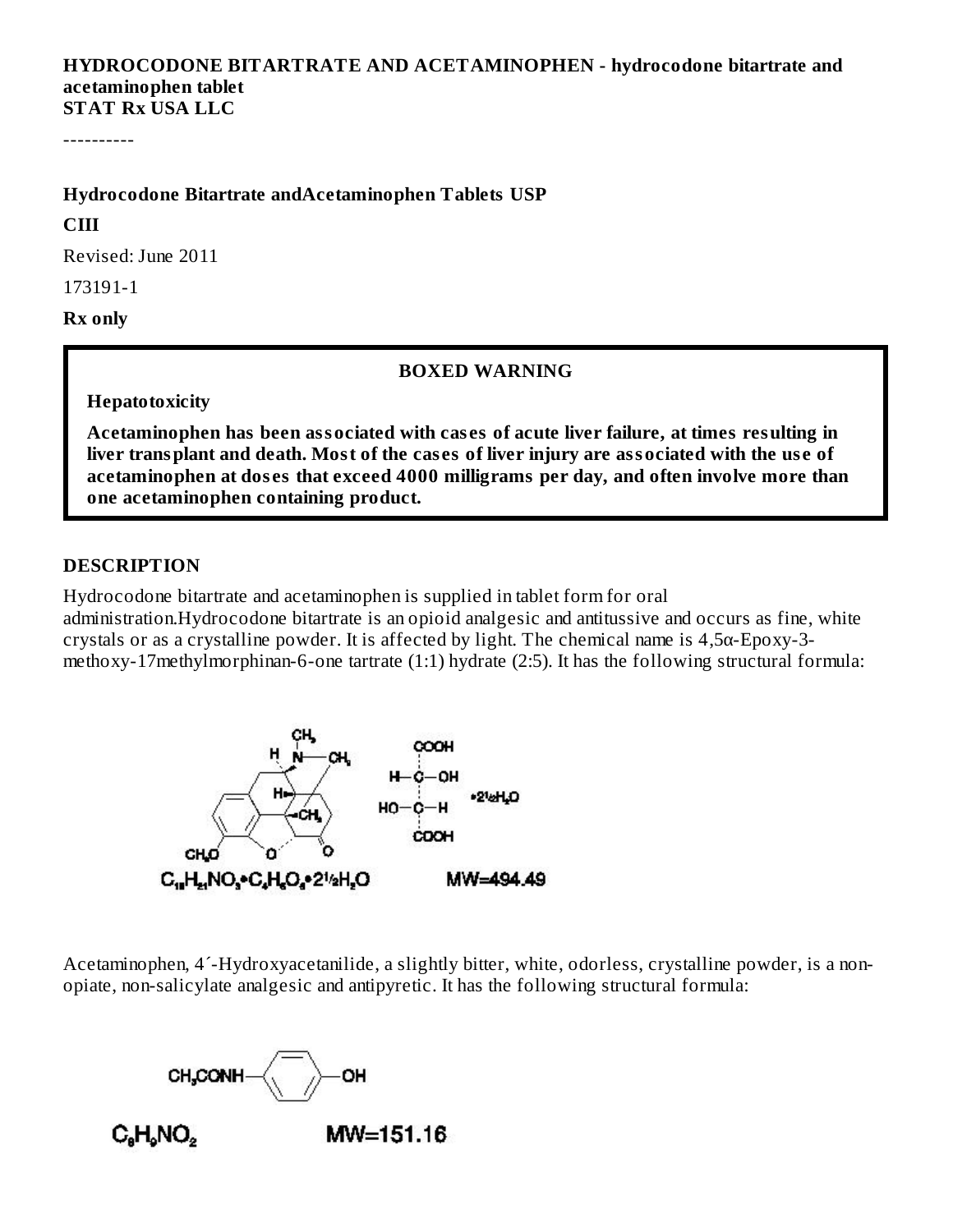#### **HYDROCODONE BITARTRATE AND ACETAMINOPHEN - hydrocodone bitartrate and acetaminophen tablet STAT Rx USA LLC**

----------

**Hydrocodone Bitartrate andAcetaminophen Tablets USP CIII** Revised: June 2011 173191-1 **Rx only**

#### **BOXED WARNING**

**Hepatotoxicity**

**Acetaminophen has been associated with cas es of acute liver failure, at times resulting in** liver transplant and death. Most of the cases of liver injury are associated with the use of **acetaminophen at dos es that exceed 4000 milligrams per day, and often involve more than one acetaminophen containing product.**

#### **DESCRIPTION**

Hydrocodone bitartrate and acetaminophen is supplied in tablet form for oral administration.Hydrocodone bitartrate is an opioid analgesic and antitussive and occurs as fine, white crystals or as a crystalline powder. It is affected by light. The chemical name is 4,5α-Epoxy-3 methoxy-17methylmorphinan-6-one tartrate (1:1) hydrate (2:5). It has the following structural formula:



Acetaminophen, 4´-Hydroxyacetanilide, a slightly bitter, white, odorless, crystalline powder, is a nonopiate, non-salicylate analgesic and antipyretic. It has the following structural formula:



C.H.NO. MW=151.16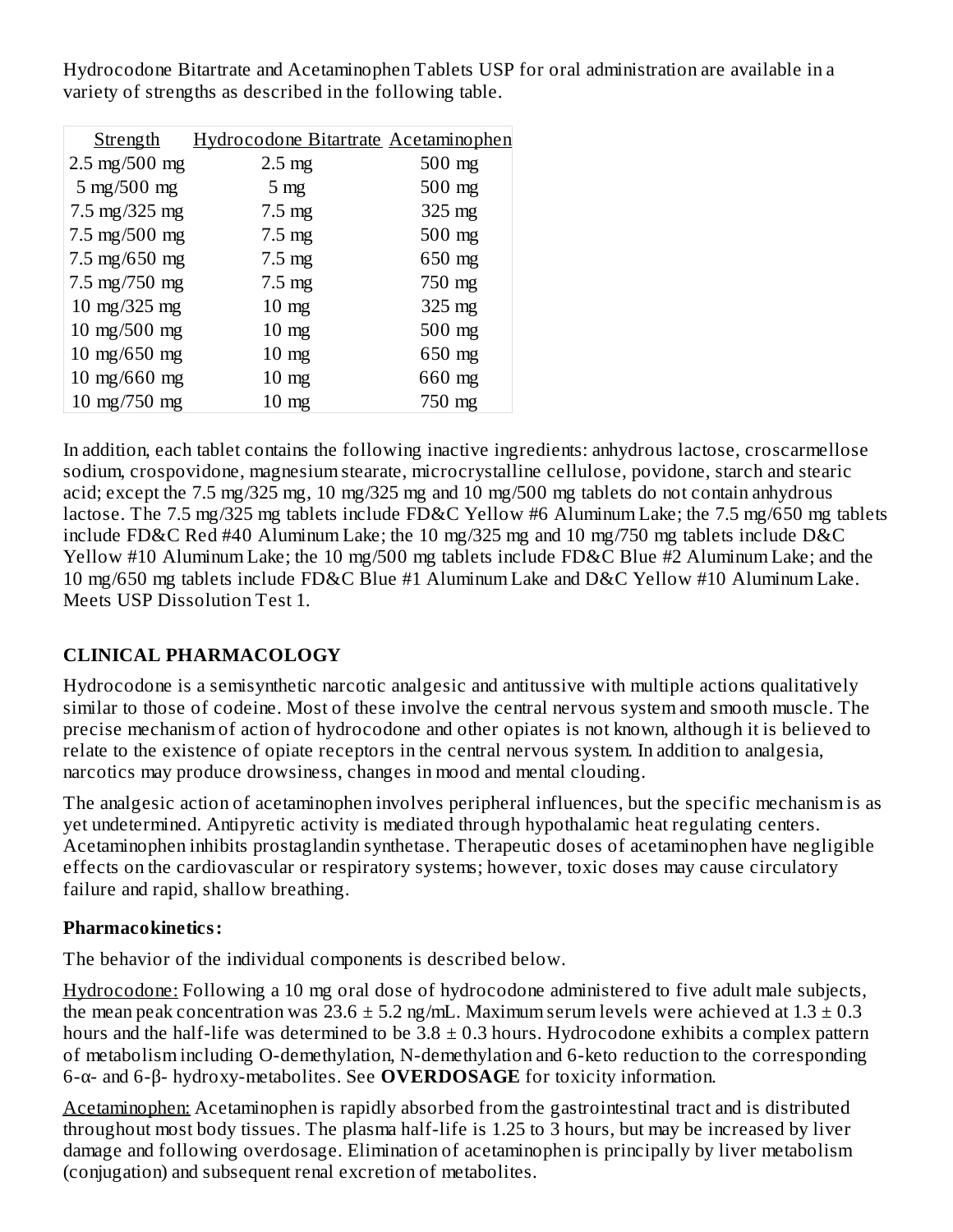Hydrocodone Bitartrate and Acetaminophen Tablets USP for oral administration are available in a variety of strengths as described in the following table.

| <u>Strength</u>                       | Hydrocodone Bitartrate Acetaminophen |          |
|---------------------------------------|--------------------------------------|----------|
| $2.5 \,\mathrm{mg}/500 \,\mathrm{mg}$ | $2.5 \text{ mg}$                     | $500$ mg |
| 5 mg/500 mg                           | 5 <sub>mg</sub>                      | 500 mg   |
| 7.5 mg/325 mg                         | $7.5 \text{ mg}$                     | 325 mg   |
| 7.5 mg/500 mg                         | $7.5 \text{ mg}$                     | 500 mg   |
| 7.5 mg/650 mg                         | $7.5 \text{ mg}$                     | 650 mg   |
| 7.5 mg/750 mg                         | $7.5 \text{ mg}$                     | 750 mg   |
| 10 mg/325 mg                          | $10 \text{ mg}$                      | 325 mg   |
| 10 mg/500 mg                          | $10 \text{ mg}$                      | 500 mg   |
| 10 mg/650 mg                          | $10 \text{ mg}$                      | 650 mg   |
| 10 mg/660 mg                          | $10 \text{ mg}$                      | 660 mg   |
| $10 \; \text{mg}/750 \; \text{mg}$    | $10 \text{ mg}$                      | 750 mg   |

In addition, each tablet contains the following inactive ingredients: anhydrous lactose, croscarmellose sodium, crospovidone, magnesium stearate, microcrystalline cellulose, povidone, starch and stearic acid; except the 7.5 mg/325 mg, 10 mg/325 mg and 10 mg/500 mg tablets do not contain anhydrous lactose. The 7.5 mg/325 mg tablets include FD&C Yellow #6 Aluminum Lake; the 7.5 mg/650 mg tablets include FD&C Red #40 Aluminum Lake; the 10 mg/325 mg and 10 mg/750 mg tablets include D&C Yellow #10 Aluminum Lake; the 10 mg/500 mg tablets include FD&C Blue #2 Aluminum Lake; and the 10 mg/650 mg tablets include FD&C Blue #1 Aluminum Lake and D&C Yellow #10 Aluminum Lake. Meets USP Dissolution Test 1.

# **CLINICAL PHARMACOLOGY**

Hydrocodone is a semisynthetic narcotic analgesic and antitussive with multiple actions qualitatively similar to those of codeine. Most of these involve the central nervous system and smooth muscle. The precise mechanism of action of hydrocodone and other opiates is not known, although it is believed to relate to the existence of opiate receptors in the central nervous system. In addition to analgesia, narcotics may produce drowsiness, changes in mood and mental clouding.

The analgesic action of acetaminophen involves peripheral influences, but the specific mechanism is as yet undetermined. Antipyretic activity is mediated through hypothalamic heat regulating centers. Acetaminophen inhibits prostaglandin synthetase. Therapeutic doses of acetaminophen have negligible effects on the cardiovascular or respiratory systems; however, toxic doses may cause circulatory failure and rapid, shallow breathing.

# **Pharmacokinetics:**

The behavior of the individual components is described below.

Hydrocodone: Following a 10 mg oral dose of hydrocodone administered to five adult male subjects, the mean peak concentration was  $23.6 \pm 5.2$  ng/mL. Maximum serum levels were achieved at  $1.3 \pm 0.3$ hours and the half-life was determined to be  $3.8 \pm 0.3$  hours. Hydrocodone exhibits a complex pattern of metabolism including O-demethylation, N-demethylation and 6-keto reduction to the corresponding 6-α- and 6-β- hydroxy-metabolites. See **OVERDOSAGE** for toxicity information.

Acetaminophen: Acetaminophen is rapidly absorbed from the gastrointestinal tract and is distributed throughout most body tissues. The plasma half-life is 1.25 to 3 hours, but may be increased by liver damage and following overdosage. Elimination of acetaminophen is principally by liver metabolism (conjugation) and subsequent renal excretion of metabolites.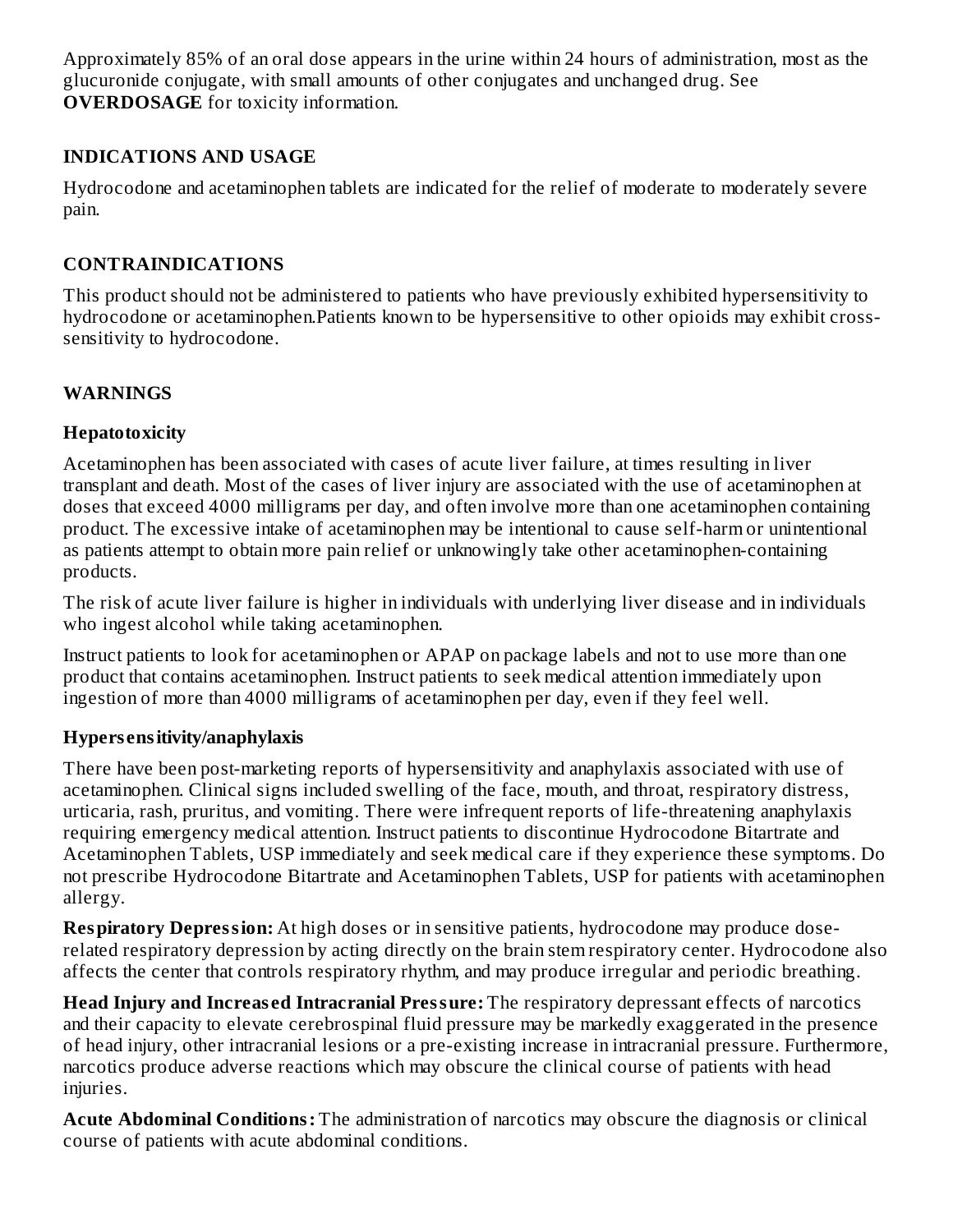Approximately 85% of an oral dose appears in the urine within 24 hours of administration, most as the glucuronide conjugate, with small amounts of other conjugates and unchanged drug. See **OVERDOSAGE** for toxicity information.

# **INDICATIONS AND USAGE**

Hydrocodone and acetaminophen tablets are indicated for the relief of moderate to moderately severe pain.

# **CONTRAINDICATIONS**

This product should not be administered to patients who have previously exhibited hypersensitivity to hydrocodone or acetaminophen.Patients known to be hypersensitive to other opioids may exhibit crosssensitivity to hydrocodone.

# **WARNINGS**

# **Hepatotoxicity**

Acetaminophen has been associated with cases of acute liver failure, at times resulting in liver transplant and death. Most of the cases of liver injury are associated with the use of acetaminophen at doses that exceed 4000 milligrams per day, and often involve more than one acetaminophen containing product. The excessive intake of acetaminophen may be intentional to cause self-harm or unintentional as patients attempt to obtain more pain relief or unknowingly take other acetaminophen-containing products.

The risk of acute liver failure is higher in individuals with underlying liver disease and in individuals who ingest alcohol while taking acetaminophen.

Instruct patients to look for acetaminophen or APAP on package labels and not to use more than one product that contains acetaminophen. Instruct patients to seek medical attention immediately upon ingestion of more than 4000 milligrams of acetaminophen per day, even if they feel well.

# **Hypers ensitivity/anaphylaxis**

There have been post-marketing reports of hypersensitivity and anaphylaxis associated with use of acetaminophen. Clinical signs included swelling of the face, mouth, and throat, respiratory distress, urticaria, rash, pruritus, and vomiting. There were infrequent reports of life-threatening anaphylaxis requiring emergency medical attention. Instruct patients to discontinue Hydrocodone Bitartrate and Acetaminophen Tablets, USP immediately and seek medical care if they experience these symptoms. Do not prescribe Hydrocodone Bitartrate and Acetaminophen Tablets, USP for patients with acetaminophen allergy.

**Respiratory Depression:** At high doses or in sensitive patients, hydrocodone may produce doserelated respiratory depression by acting directly on the brain stem respiratory center. Hydrocodone also affects the center that controls respiratory rhythm, and may produce irregular and periodic breathing.

**Head Injury and Increas ed Intracranial Pressure:** The respiratory depressant effects of narcotics and their capacity to elevate cerebrospinal fluid pressure may be markedly exaggerated in the presence of head injury, other intracranial lesions or a pre-existing increase in intracranial pressure. Furthermore, narcotics produce adverse reactions which may obscure the clinical course of patients with head injuries.

**Acute Abdominal Conditions:** The administration of narcotics may obscure the diagnosis or clinical course of patients with acute abdominal conditions.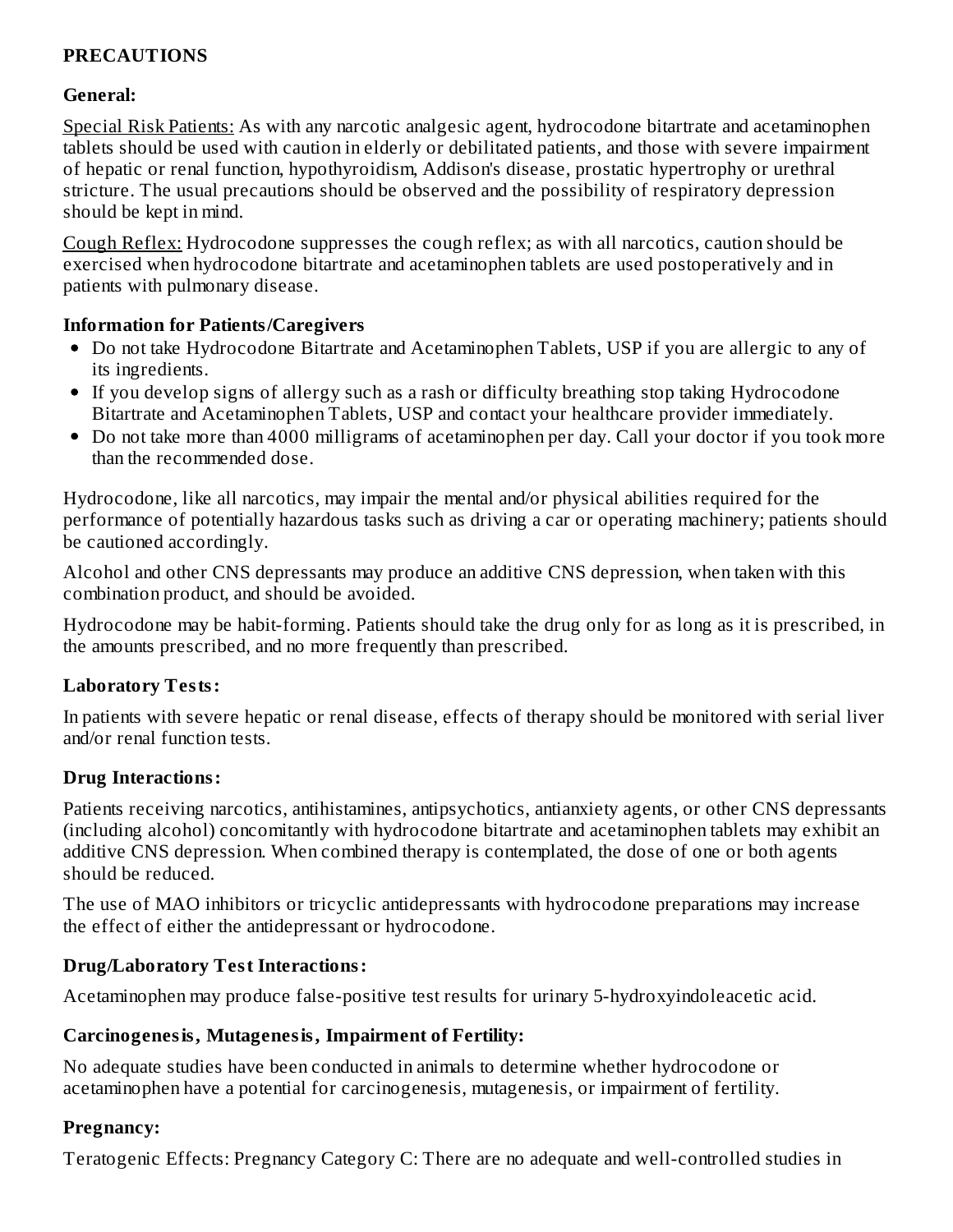# **PRECAUTIONS**

### **General:**

Special Risk Patients: As with any narcotic analgesic agent, hydrocodone bitartrate and acetaminophen tablets should be used with caution in elderly or debilitated patients, and those with severe impairment of hepatic or renal function, hypothyroidism, Addison's disease, prostatic hypertrophy or urethral stricture. The usual precautions should be observed and the possibility of respiratory depression should be kept in mind.

Cough Reflex: Hydrocodone suppresses the cough reflex; as with all narcotics, caution should be exercised when hydrocodone bitartrate and acetaminophen tablets are used postoperatively and in patients with pulmonary disease.

# **Information for Patients/Caregivers**

- Do not take Hydrocodone Bitartrate and Acetaminophen Tablets, USP if you are allergic to any of its ingredients.
- If you develop signs of allergy such as a rash or difficulty breathing stop taking Hydrocodone Bitartrate and Acetaminophen Tablets, USP and contact your healthcare provider immediately.
- Do not take more than 4000 milligrams of acetaminophen per day. Call your doctor if you took more than the recommended dose.

Hydrocodone, like all narcotics, may impair the mental and/or physical abilities required for the performance of potentially hazardous tasks such as driving a car or operating machinery; patients should be cautioned accordingly.

Alcohol and other CNS depressants may produce an additive CNS depression, when taken with this combination product, and should be avoided.

Hydrocodone may be habit-forming. Patients should take the drug only for as long as it is prescribed, in the amounts prescribed, and no more frequently than prescribed.

# **Laboratory Tests:**

In patients with severe hepatic or renal disease, effects of therapy should be monitored with serial liver and/or renal function tests.

# **Drug Interactions:**

Patients receiving narcotics, antihistamines, antipsychotics, antianxiety agents, or other CNS depressants (including alcohol) concomitantly with hydrocodone bitartrate and acetaminophen tablets may exhibit an additive CNS depression. When combined therapy is contemplated, the dose of one or both agents should be reduced.

The use of MAO inhibitors or tricyclic antidepressants with hydrocodone preparations may increase the effect of either the antidepressant or hydrocodone.

# **Drug/Laboratory Test Interactions:**

Acetaminophen may produce false-positive test results for urinary 5-hydroxyindoleacetic acid.

# **Carcinogenesis, Mutagenesis, Impairment of Fertility:**

No adequate studies have been conducted in animals to determine whether hydrocodone or acetaminophen have a potential for carcinogenesis, mutagenesis, or impairment of fertility.

# **Pregnancy:**

Teratogenic Effects: Pregnancy Category C: There are no adequate and well-controlled studies in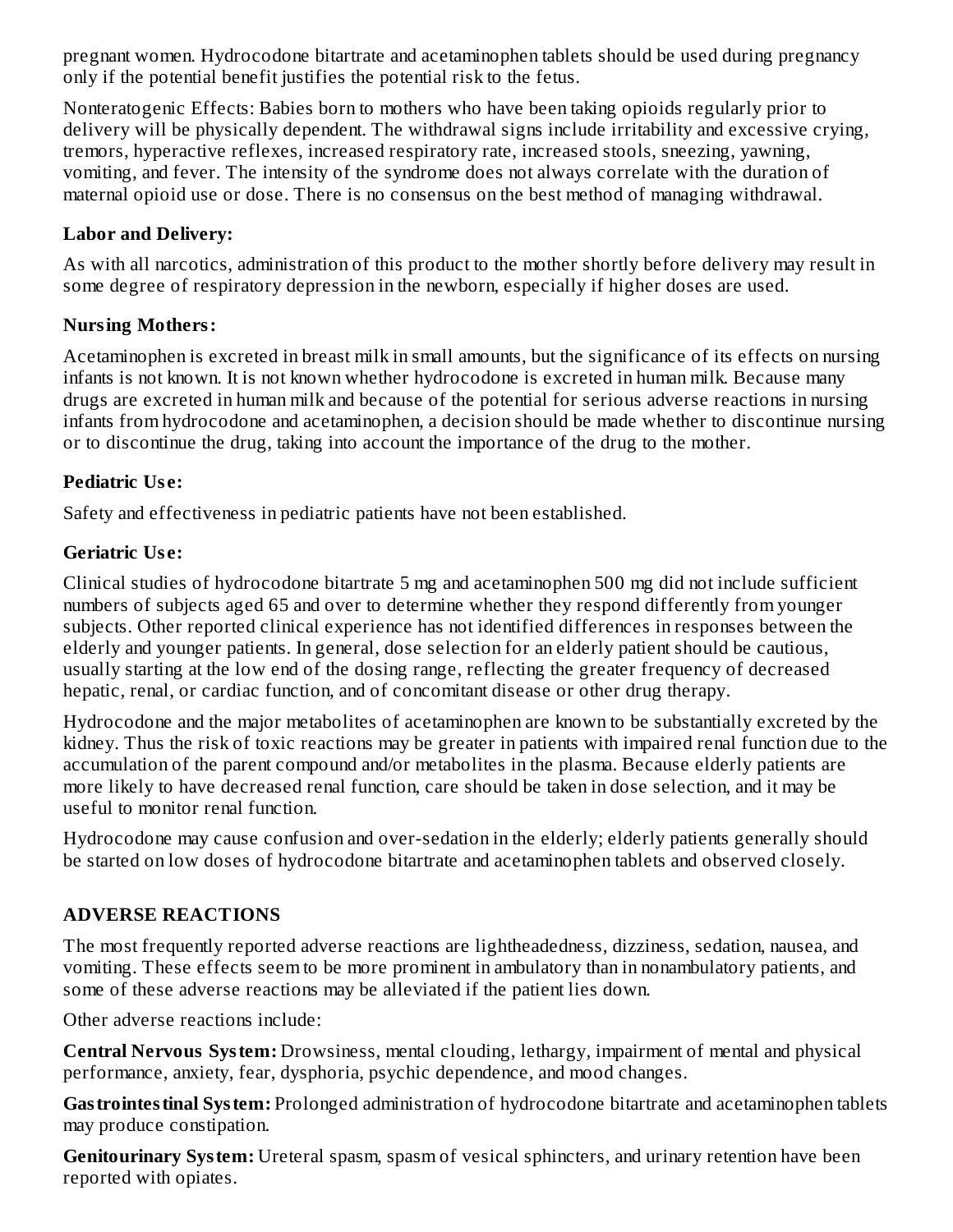pregnant women. Hydrocodone bitartrate and acetaminophen tablets should be used during pregnancy only if the potential benefit justifies the potential risk to the fetus.

Nonteratogenic Effects: Babies born to mothers who have been taking opioids regularly prior to delivery will be physically dependent. The withdrawal signs include irritability and excessive crying, tremors, hyperactive reflexes, increased respiratory rate, increased stools, sneezing, yawning, vomiting, and fever. The intensity of the syndrome does not always correlate with the duration of maternal opioid use or dose. There is no consensus on the best method of managing withdrawal.

# **Labor and Delivery:**

As with all narcotics, administration of this product to the mother shortly before delivery may result in some degree of respiratory depression in the newborn, especially if higher doses are used.

# **Nursing Mothers:**

Acetaminophen is excreted in breast milk in small amounts, but the significance of its effects on nursing infants is not known. It is not known whether hydrocodone is excreted in human milk. Because many drugs are excreted in human milk and because of the potential for serious adverse reactions in nursing infants from hydrocodone and acetaminophen, a decision should be made whether to discontinue nursing or to discontinue the drug, taking into account the importance of the drug to the mother.

# **Pediatric Us e:**

Safety and effectiveness in pediatric patients have not been established.

# **Geriatric Us e:**

Clinical studies of hydrocodone bitartrate 5 mg and acetaminophen 500 mg did not include sufficient numbers of subjects aged 65 and over to determine whether they respond differently from younger subjects. Other reported clinical experience has not identified differences in responses between the elderly and younger patients. In general, dose selection for an elderly patient should be cautious, usually starting at the low end of the dosing range, reflecting the greater frequency of decreased hepatic, renal, or cardiac function, and of concomitant disease or other drug therapy.

Hydrocodone and the major metabolites of acetaminophen are known to be substantially excreted by the kidney. Thus the risk of toxic reactions may be greater in patients with impaired renal function due to the accumulation of the parent compound and/or metabolites in the plasma. Because elderly patients are more likely to have decreased renal function, care should be taken in dose selection, and it may be useful to monitor renal function.

Hydrocodone may cause confusion and over-sedation in the elderly; elderly patients generally should be started on low doses of hydrocodone bitartrate and acetaminophen tablets and observed closely.

# **ADVERSE REACTIONS**

The most frequently reported adverse reactions are lightheadedness, dizziness, sedation, nausea, and vomiting. These effects seem to be more prominent in ambulatory than in nonambulatory patients, and some of these adverse reactions may be alleviated if the patient lies down.

Other adverse reactions include:

**Central Nervous System:** Drowsiness, mental clouding, lethargy, impairment of mental and physical performance, anxiety, fear, dysphoria, psychic dependence, and mood changes.

**Gastrointestinal System:** Prolonged administration of hydrocodone bitartrate and acetaminophen tablets may produce constipation.

**Genitourinary System:** Ureteral spasm, spasm of vesical sphincters, and urinary retention have been reported with opiates.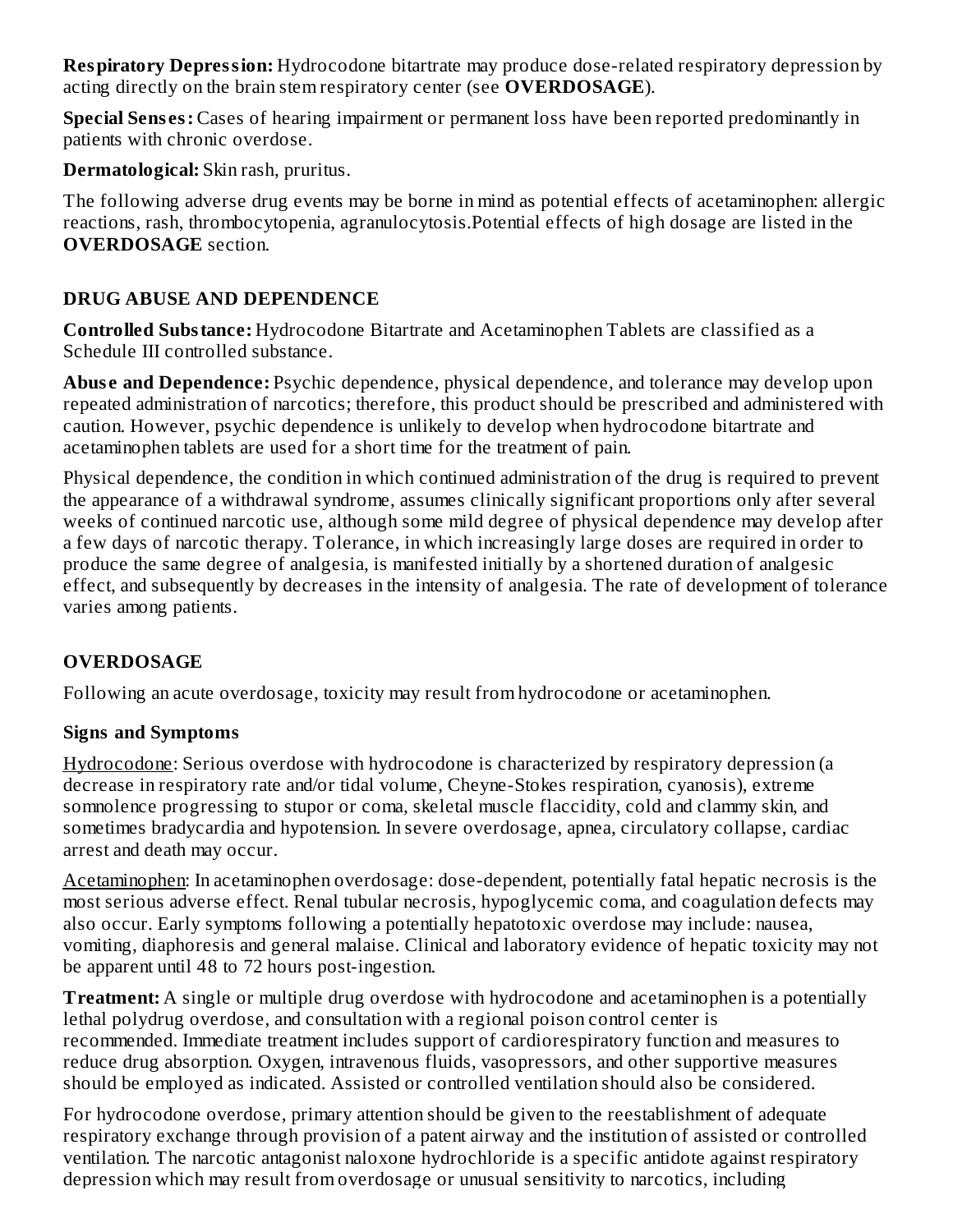**Respiratory Depression:** Hydrocodone bitartrate may produce dose-related respiratory depression by acting directly on the brain stem respiratory center (see **OVERDOSAGE**).

**Special Senses:** Cases of hearing impairment or permanent loss have been reported predominantly in patients with chronic overdose.

**Dermatological:** Skin rash, pruritus.

The following adverse drug events may be borne in mind as potential effects of acetaminophen: allergic reactions, rash, thrombocytopenia, agranulocytosis.Potential effects of high dosage are listed in the **OVERDOSAGE** section.

# **DRUG ABUSE AND DEPENDENCE**

**Controlled Substance:** Hydrocodone Bitartrate and Acetaminophen Tablets are classified as a Schedule III controlled substance.

**Abus e and Dependence:** Psychic dependence, physical dependence, and tolerance may develop upon repeated administration of narcotics; therefore, this product should be prescribed and administered with caution. However, psychic dependence is unlikely to develop when hydrocodone bitartrate and acetaminophen tablets are used for a short time for the treatment of pain.

Physical dependence, the condition in which continued administration of the drug is required to prevent the appearance of a withdrawal syndrome, assumes clinically significant proportions only after several weeks of continued narcotic use, although some mild degree of physical dependence may develop after a few days of narcotic therapy. Tolerance, in which increasingly large doses are required in order to produce the same degree of analgesia, is manifested initially by a shortened duration of analgesic effect, and subsequently by decreases in the intensity of analgesia. The rate of development of tolerance varies among patients.

# **OVERDOSAGE**

Following an acute overdosage, toxicity may result from hydrocodone or acetaminophen.

# **Signs and Symptoms**

Hydrocodone: Serious overdose with hydrocodone is characterized by respiratory depression (a decrease in respiratory rate and/or tidal volume, Cheyne-Stokes respiration, cyanosis), extreme somnolence progressing to stupor or coma, skeletal muscle flaccidity, cold and clammy skin, and sometimes bradycardia and hypotension. In severe overdosage, apnea, circulatory collapse, cardiac arrest and death may occur.

Acetaminophen: In acetaminophen overdosage: dose-dependent, potentially fatal hepatic necrosis is the most serious adverse effect. Renal tubular necrosis, hypoglycemic coma, and coagulation defects may also occur. Early symptoms following a potentially hepatotoxic overdose may include: nausea, vomiting, diaphoresis and general malaise. Clinical and laboratory evidence of hepatic toxicity may not be apparent until 48 to 72 hours post-ingestion.

**Treatment:** A single or multiple drug overdose with hydrocodone and acetaminophen is a potentially lethal polydrug overdose, and consultation with a regional poison control center is recommended. Immediate treatment includes support of cardiorespiratory function and measures to reduce drug absorption. Oxygen, intravenous fluids, vasopressors, and other supportive measures should be employed as indicated. Assisted or controlled ventilation should also be considered.

For hydrocodone overdose, primary attention should be given to the reestablishment of adequate respiratory exchange through provision of a patent airway and the institution of assisted or controlled ventilation. The narcotic antagonist naloxone hydrochloride is a specific antidote against respiratory depression which may result from overdosage or unusual sensitivity to narcotics, including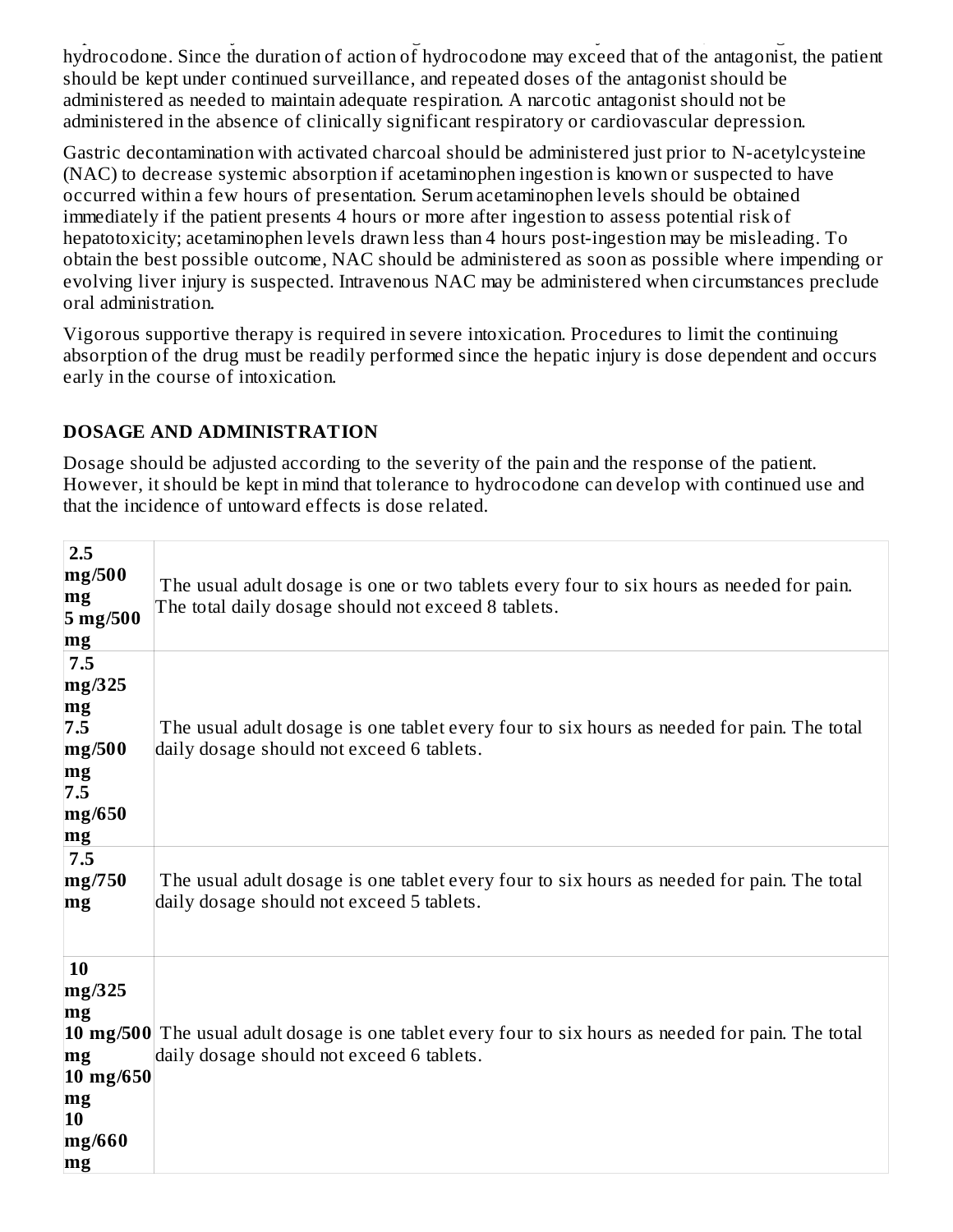depression which may result from overdosage or unusual sensitivity to narcotics, including hydrocodone. Since the duration of action of hydrocodone may exceed that of the antagonist, the patient should be kept under continued surveillance, and repeated doses of the antagonist should be administered as needed to maintain adequate respiration. A narcotic antagonist should not be administered in the absence of clinically significant respiratory or cardiovascular depression.

Gastric decontamination with activated charcoal should be administered just prior to N-acetylcysteine (NAC) to decrease systemic absorption if acetaminophen ingestion is known or suspected to have occurred within a few hours of presentation. Serum acetaminophen levels should be obtained immediately if the patient presents 4 hours or more after ingestion to assess potential risk of hepatotoxicity; acetaminophen levels drawn less than 4 hours post-ingestion may be misleading. To obtain the best possible outcome, NAC should be administered as soon as possible where impending or evolving liver injury is suspected. Intravenous NAC may be administered when circumstances preclude oral administration.

Vigorous supportive therapy is required in severe intoxication. Procedures to limit the continuing absorption of the drug must be readily performed since the hepatic injury is dose dependent and occurs early in the course of intoxication.

# **DOSAGE AND ADMINISTRATION**

Dosage should be adjusted according to the severity of the pain and the response of the patient. However, it should be kept in mind that tolerance to hydrocodone can develop with continued use and that the incidence of untoward effects is dose related.

| 2.5<br>mg/500<br>mg<br>$5 \text{ mg}/500$<br>mg                   | The usual adult dosage is one or two tablets every four to six hours as needed for pain.<br>The total daily dosage should not exceed 8 tablets.          |
|-------------------------------------------------------------------|----------------------------------------------------------------------------------------------------------------------------------------------------------|
| 7.5<br>mg/325<br>mg<br>7.5<br>mg/500<br>mg<br>7.5<br>mg/650<br>mg | The usual adult dosage is one tablet every four to six hours as needed for pain. The total<br>daily dosage should not exceed 6 tablets.                  |
| 7.5<br>mg/750<br>mg                                               | The usual adult dosage is one tablet every four to six hours as needed for pain. The total<br>daily dosage should not exceed 5 tablets.                  |
| 10<br>mg/325<br>mg<br>mg<br>10 mg/650<br>mg<br>10<br>mg/660<br>mg | <b>10 mg/500</b> The usual adult dosage is one tablet every four to six hours as needed for pain. The total<br>daily dosage should not exceed 6 tablets. |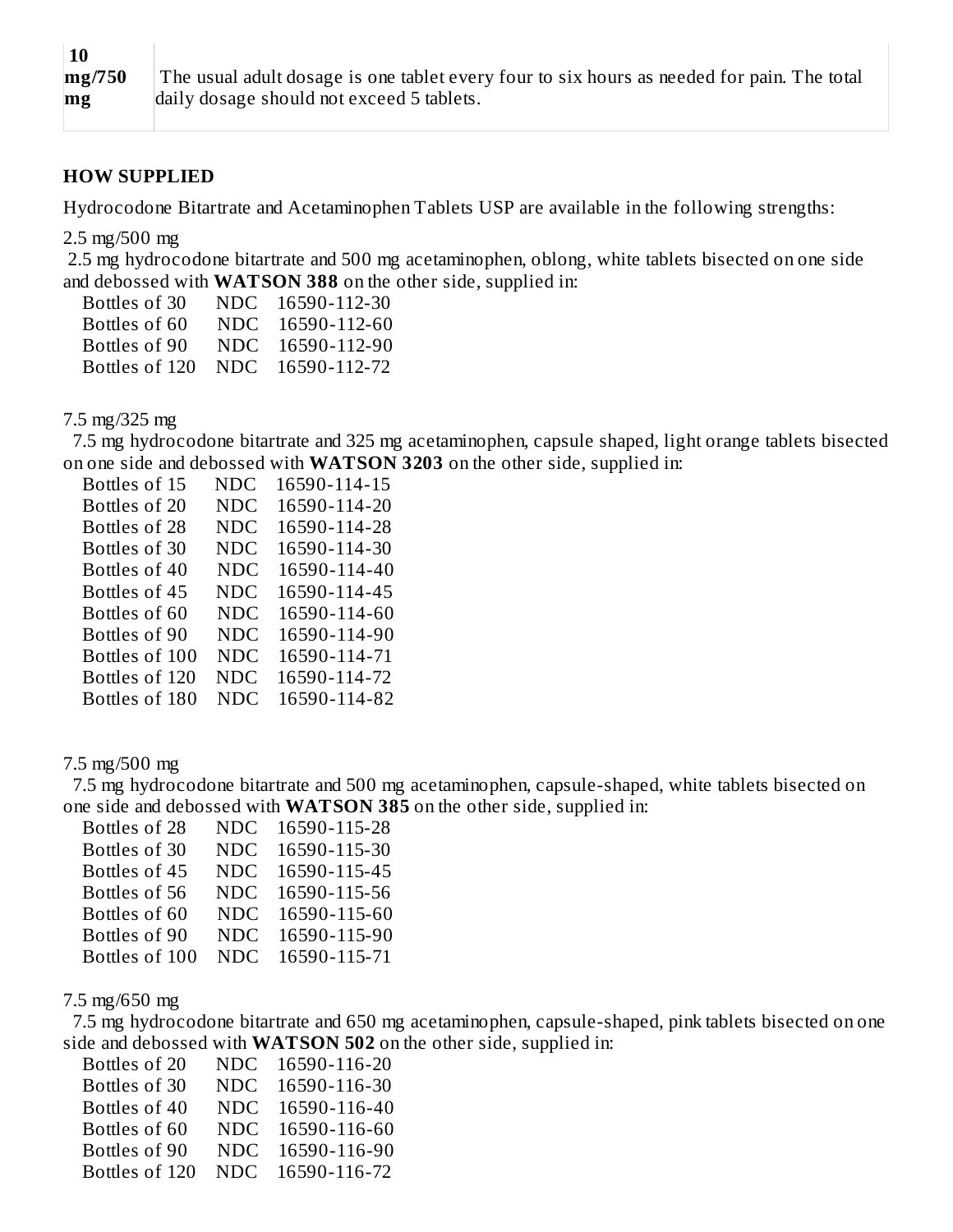| $\vert$ 10     |                                                                                            |
|----------------|--------------------------------------------------------------------------------------------|
| mg/750         | The usual adult dosage is one tablet every four to six hours as needed for pain. The total |
| m <sub>g</sub> | daily dosage should not exceed 5 tablets.                                                  |

#### **HOW SUPPLIED**

Hydrocodone Bitartrate and Acetaminophen Tablets USP are available in the following strengths:

2.5 mg/500 mg

2.5 mg hydrocodone bitartrate and 500 mg acetaminophen, oblong, white tablets bisected on one side and debossed with **WATSON 388** on the other side, supplied in:

| Bottles of 30  | NDC 16590-112-30 |
|----------------|------------------|
| Bottles of 60  | NDC 16590-112-60 |
| Bottles of 90  | NDC 16590-112-90 |
| Bottles of 120 | NDC 16590-112-72 |

#### 7.5 mg/325 mg

7.5 mg hydrocodone bitartrate and 325 mg acetaminophen, capsule shaped, light orange tablets bisected on one side and debossed with **WATSON 3203** on the other side, supplied in:

| Bottles of 15  | <b>NDC</b> | 16590-114-15 |
|----------------|------------|--------------|
| Bottles of 20  | <b>NDC</b> | 16590-114-20 |
| Bottles of 28  | <b>NDC</b> | 16590-114-28 |
| Bottles of 30  | NDC        | 16590-114-30 |
| Bottles of 40  | <b>NDC</b> | 16590-114-40 |
| Bottles of 45  | <b>NDC</b> | 16590-114-45 |
| Bottles of 60  | <b>NDC</b> | 16590-114-60 |
| Bottles of 90  | <b>NDC</b> | 16590-114-90 |
| Bottles of 100 | <b>NDC</b> | 16590-114-71 |
| Bottles of 120 | <b>NDC</b> | 16590-114-72 |
| Bottles of 180 | <b>NDC</b> | 16590-114-82 |

#### 7.5 mg/500 mg

7.5 mg hydrocodone bitartrate and 500 mg acetaminophen, capsule-shaped, white tablets bisected on one side and debossed with **WATSON 385** on the other side, supplied in:

| Bottles of 28  | <b>NDC</b> | 16590-115-28 |
|----------------|------------|--------------|
| Bottles of 30  | <b>NDC</b> | 16590-115-30 |
| Bottles of 45  | <b>NDC</b> | 16590-115-45 |
| Bottles of 56  | <b>NDC</b> | 16590-115-56 |
| Bottles of 60  | <b>NDC</b> | 16590-115-60 |
| Bottles of 90  | <b>NDC</b> | 16590-115-90 |
| Bottles of 100 | NDC.       | 16590-115-71 |

#### 7.5 mg/650 mg

7.5 mg hydrocodone bitartrate and 650 mg acetaminophen, capsule-shaped, pink tablets bisected on one side and debossed with **WATSON 502** on the other side, supplied in:

| Bottles of 20  | NDC        | 16590-116-20 |
|----------------|------------|--------------|
| Bottles of 30  | <b>NDC</b> | 16590-116-30 |
| Bottles of 40  | <b>NDC</b> | 16590-116-40 |
| Bottles of 60  | <b>NDC</b> | 16590-116-60 |
| Bottles of 90  | <b>NDC</b> | 16590-116-90 |
| Bottles of 120 | <b>NDC</b> | 16590-116-72 |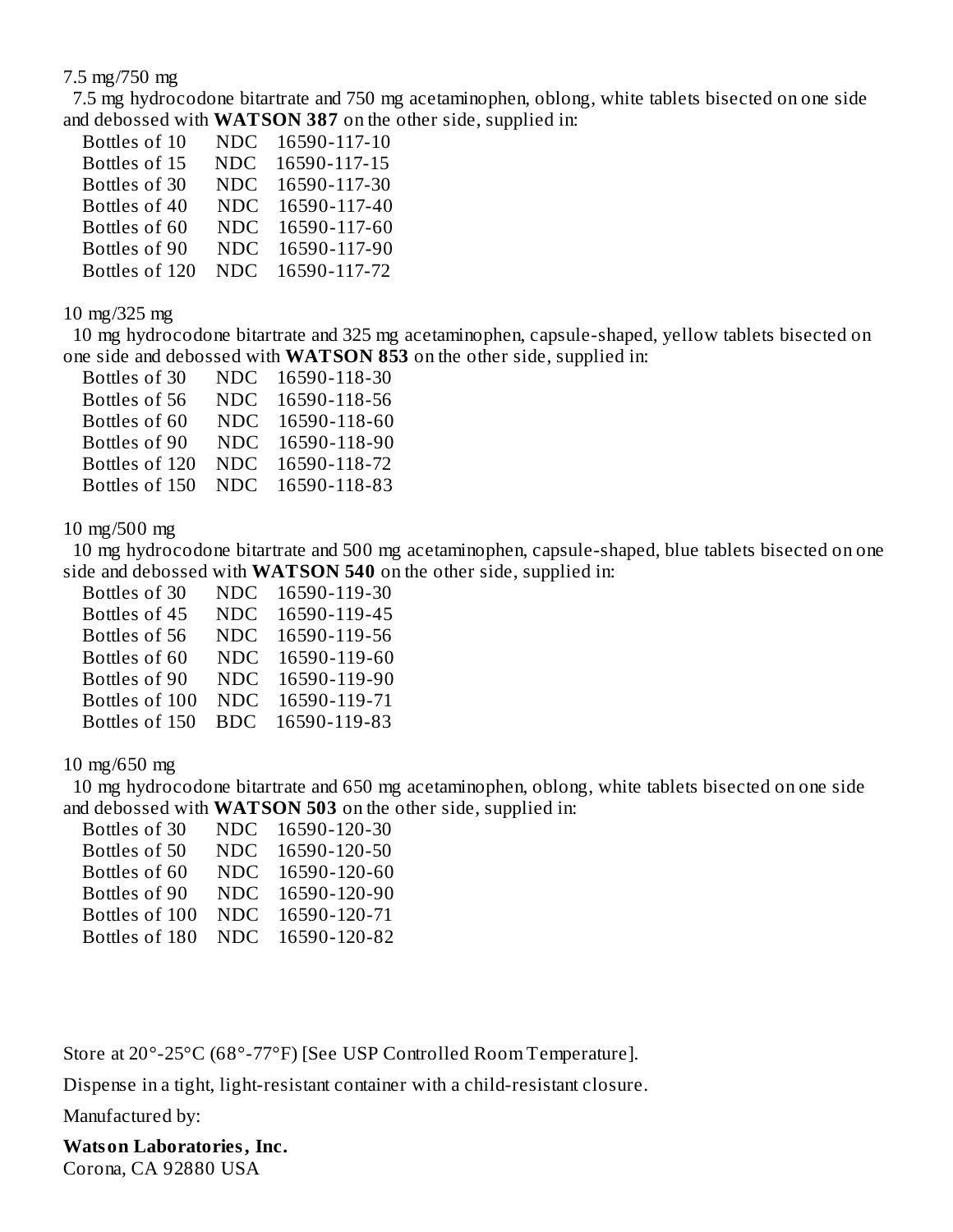#### 7.5 mg/750 mg

7.5 mg hydrocodone bitartrate and 750 mg acetaminophen, oblong, white tablets bisected on one side and debossed with **WATSON 387** on the other side, supplied in:

| Bottles of 10  | <b>NDC</b> | 16590-117-10 |
|----------------|------------|--------------|
| Bottles of 15  | <b>NDC</b> | 16590-117-15 |
| Bottles of 30  | <b>NDC</b> | 16590-117-30 |
| Bottles of 40  | <b>NDC</b> | 16590-117-40 |
| Bottles of 60  | <b>NDC</b> | 16590-117-60 |
| Bottles of 90  | <b>NDC</b> | 16590-117-90 |
| Bottles of 120 | NDC.       | 16590-117-72 |

#### 10 mg/325 mg

10 mg hydrocodone bitartrate and 325 mg acetaminophen, capsule-shaped, yellow tablets bisected on one side and debossed with **WATSON 853** on the other side, supplied in:

| <b>NDC</b> | 16590-118-30 |
|------------|--------------|
| <b>NDC</b> | 16590-118-56 |
| <b>NDC</b> | 16590-118-60 |
| <b>NDC</b> | 16590-118-90 |
| <b>NDC</b> | 16590-118-72 |
| NDC.       | 16590-118-83 |
|            |              |

#### 10 mg/500 mg

10 mg hydrocodone bitartrate and 500 mg acetaminophen, capsule-shaped, blue tablets bisected on one side and debossed with **WATSON 540** on the other side, supplied in:

| Bottles of 30  | <b>NDC</b> | 16590-119-30 |
|----------------|------------|--------------|
| Bottles of 45  | <b>NDC</b> | 16590-119-45 |
| Bottles of 56  | <b>NDC</b> | 16590-119-56 |
| Bottles of 60  | <b>NDC</b> | 16590-119-60 |
| Bottles of 90  | <b>NDC</b> | 16590-119-90 |
| Bottles of 100 | <b>NDC</b> | 16590-119-71 |
| Bottles of 150 | <b>BDC</b> | 16590-119-83 |

#### 10 mg/650 mg

10 mg hydrocodone bitartrate and 650 mg acetaminophen, oblong, white tablets bisected on one side and debossed with **WATSON 503** on the other side, supplied in:

| 16590-120-30<br>NDC.       |
|----------------------------|
|                            |
| 16590-120-50<br><b>NDC</b> |
| 16590-120-60<br><b>NDC</b> |
| 16590-120-90<br><b>NDC</b> |
| 16590-120-71<br><b>NDC</b> |
| 16590-120-82<br>NDC.       |
|                            |

Store at 20°-25°C (68°-77°F) [See USP Controlled Room Temperature].

Dispense in a tight, light-resistant container with a child-resistant closure.

Manufactured by:

**Watson Laboratories, Inc.** Corona, CA 92880 USA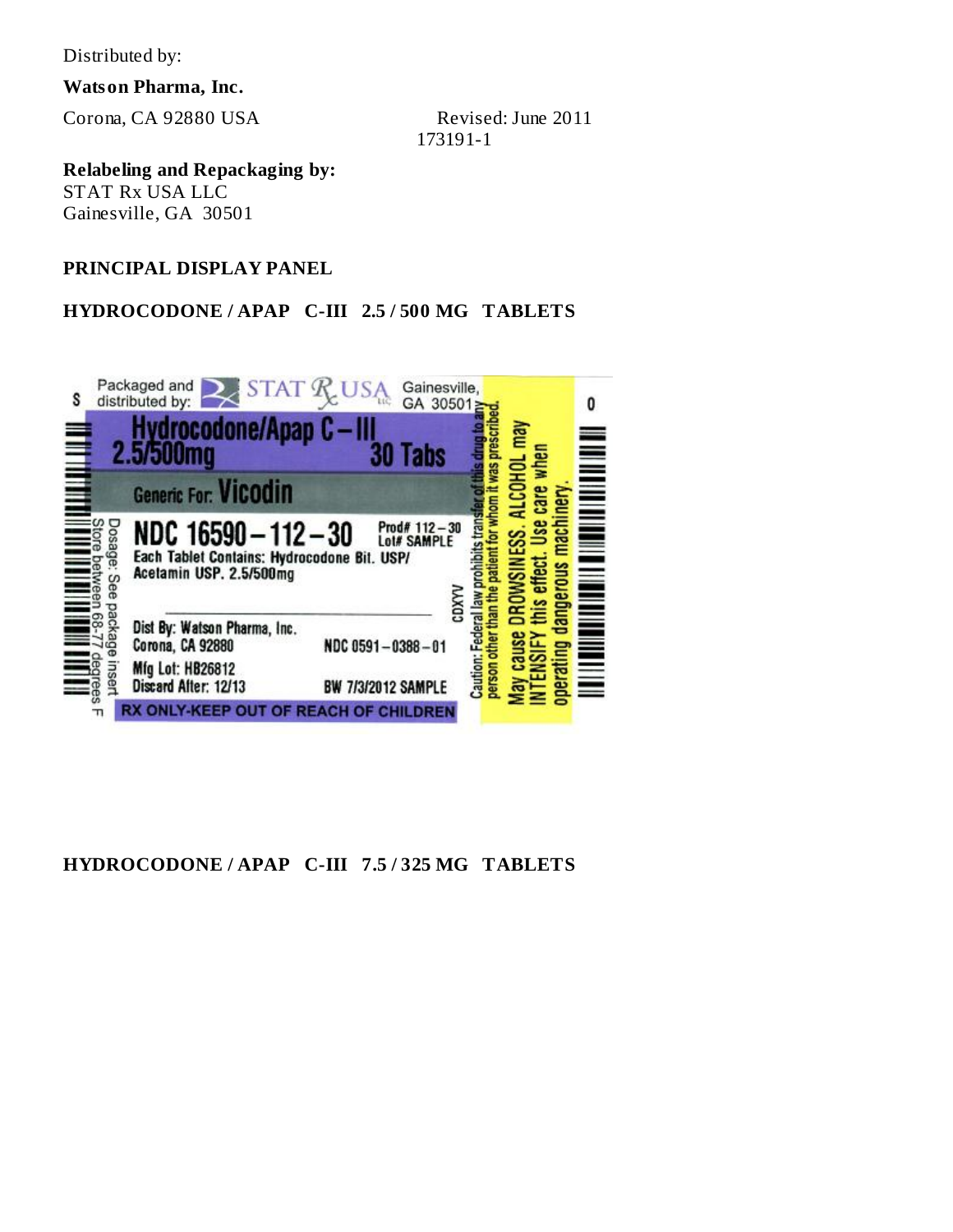Distributed by:

**Watson Pharma, Inc.**

Corona, CA 92880 USA Revised: June 2011

173191-1

**Relabeling and Repackaging by:**

STAT Rx USA LLC Gainesville, GA 30501

# **PRINCIPAL DISPLAY PANEL**

# **HYDROCODONE / APAP C-III 2.5 / 500 MG TABLETS**



# **HYDROCODONE / APAP C-III 7.5 / 325 MG TABLETS**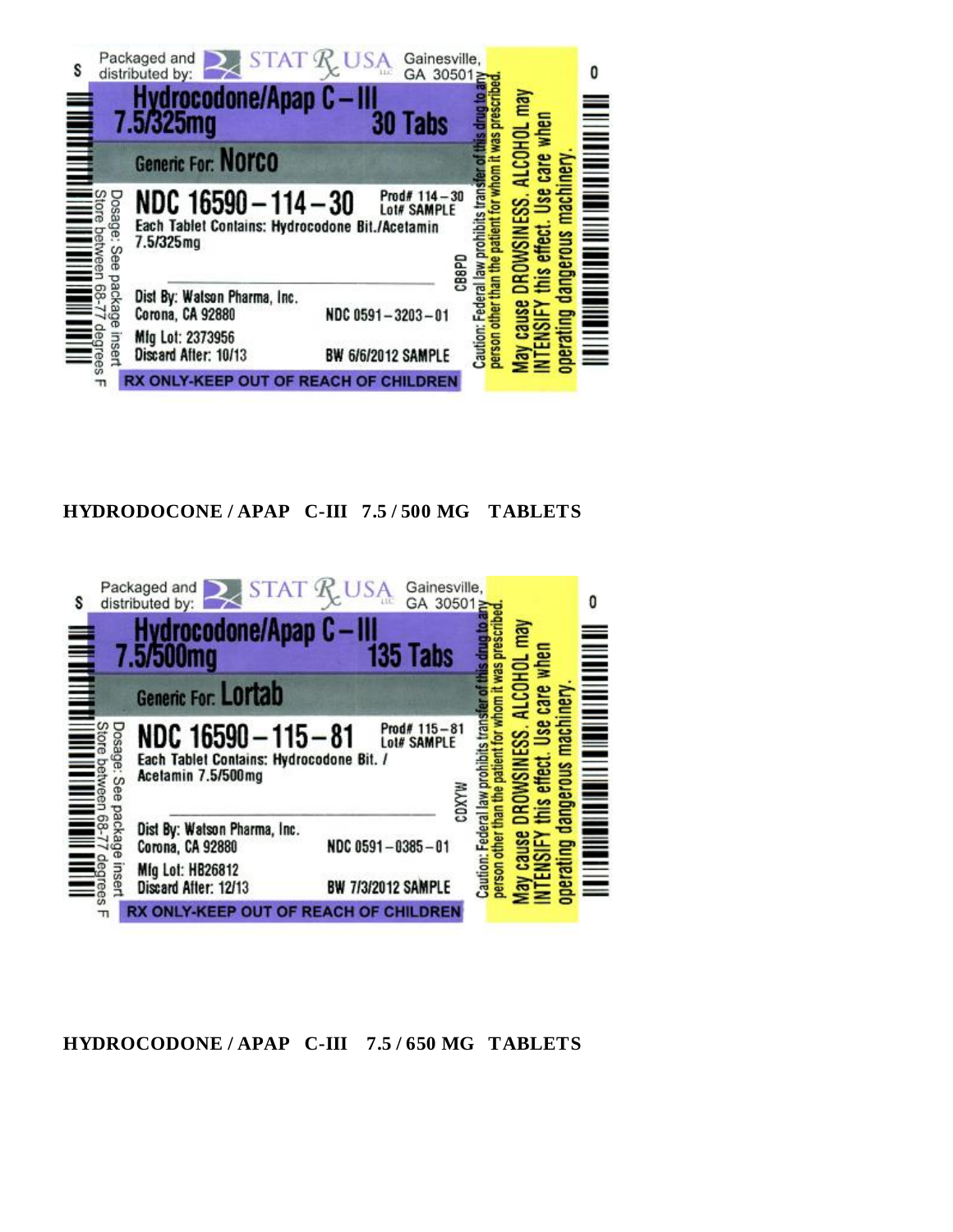

# **HYDRODOCONE / APAP C-III 7.5 / 500 MG TABLETS**



# **HYDROCODONE / APAP C-III 7.5 / 650 MG TABLETS**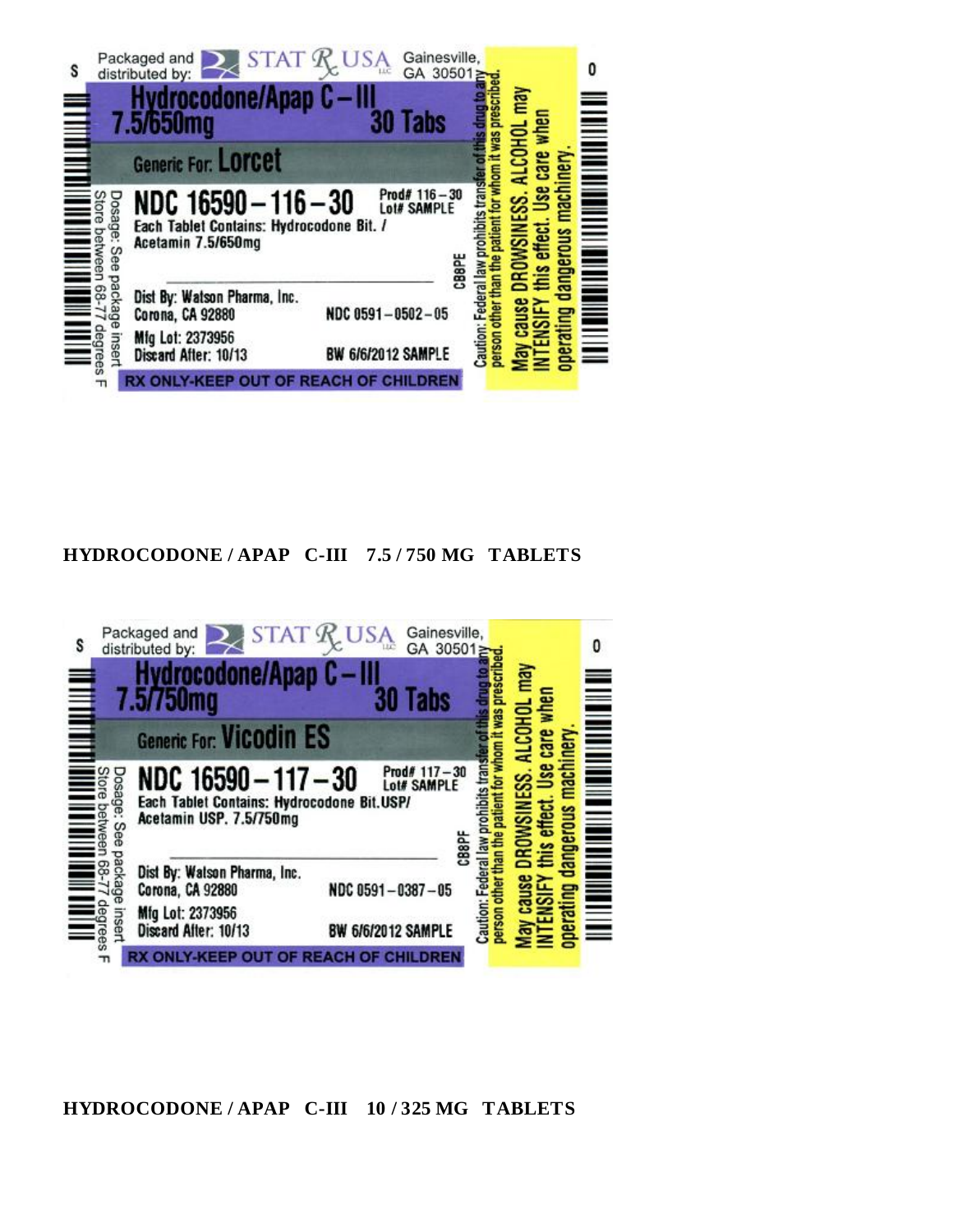

#### **HYDROCODONE / APAP C-III 7.5 / 750 MG TABLETS**



#### **HYDROCODONE / APAP C-III 10 / 325 MG TABLETS**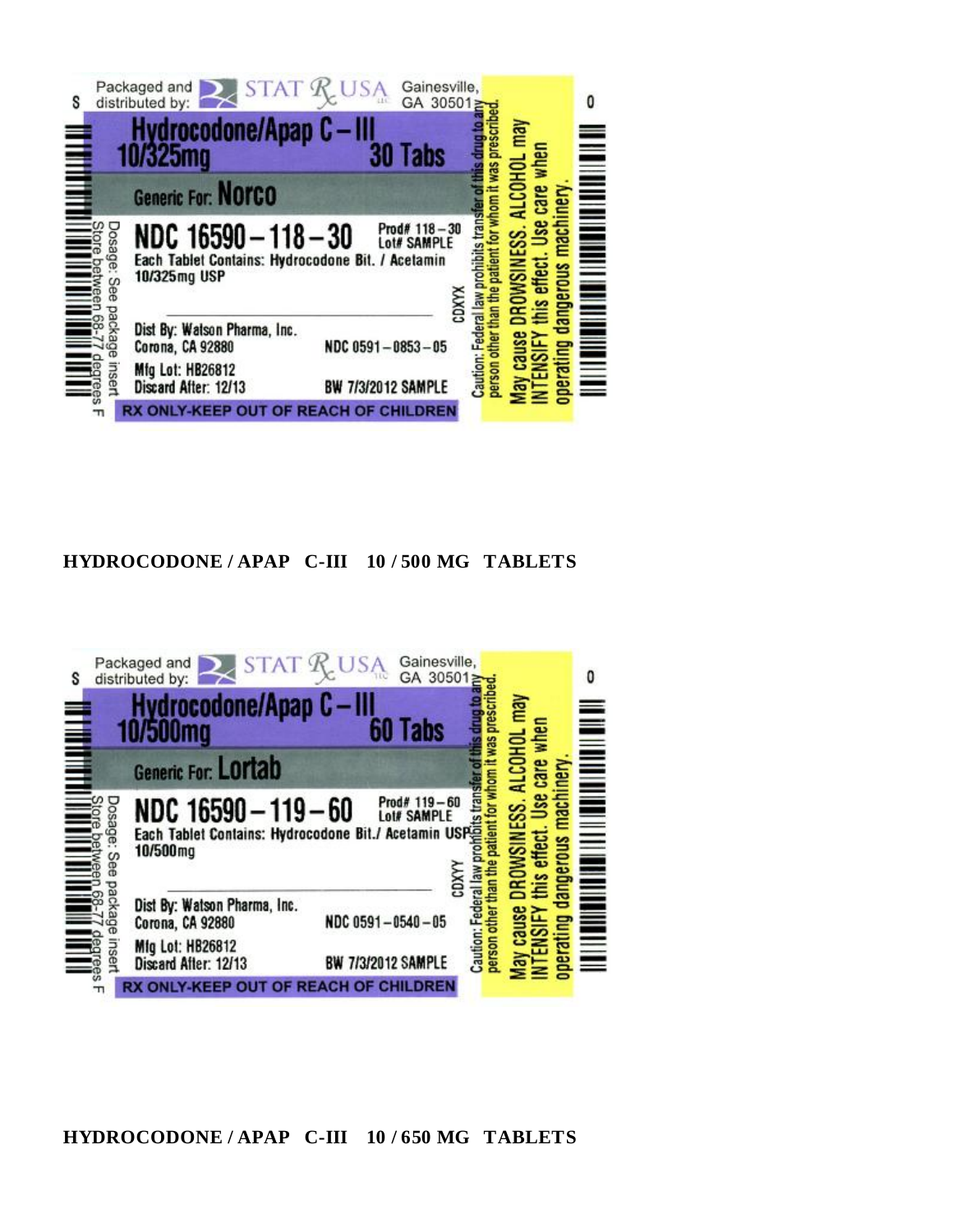![](_page_12_Picture_0.jpeg)

# **HYDROCODONE / APAP C-III 10 / 500 MG TABLETS**

![](_page_12_Picture_2.jpeg)

**HYDROCODONE / APAP C-III 10 / 650 MG TABLETS**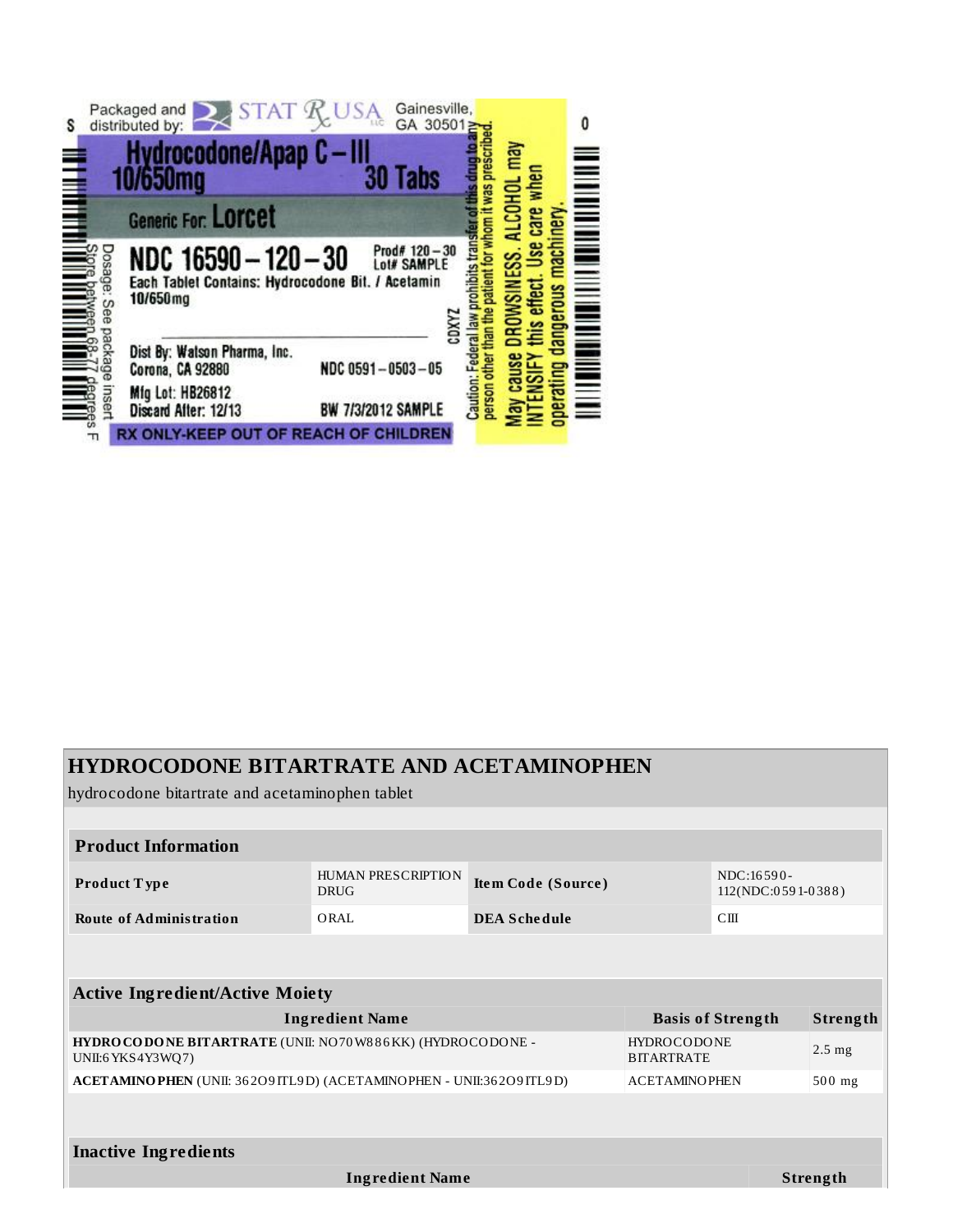![](_page_13_Picture_0.jpeg)

hydrocodone bitartrate and acetaminophen tablet

#### **Product Information**

| Product Type            | DRUG | <b>HUMAN PRESCRIPTION Item Code (Source)</b> | NDC:16590-<br>$112(NDC:0591-0388)$ |
|-------------------------|------|----------------------------------------------|------------------------------------|
| Route of Administration | ORAL | <b>DEA Schedule</b>                          | CШ                                 |

| Strength         |
|------------------|
| $2.5 \text{ mg}$ |
| $500$ mg         |
|                  |

**Inactive Ingredients** 

**Ingredient Name**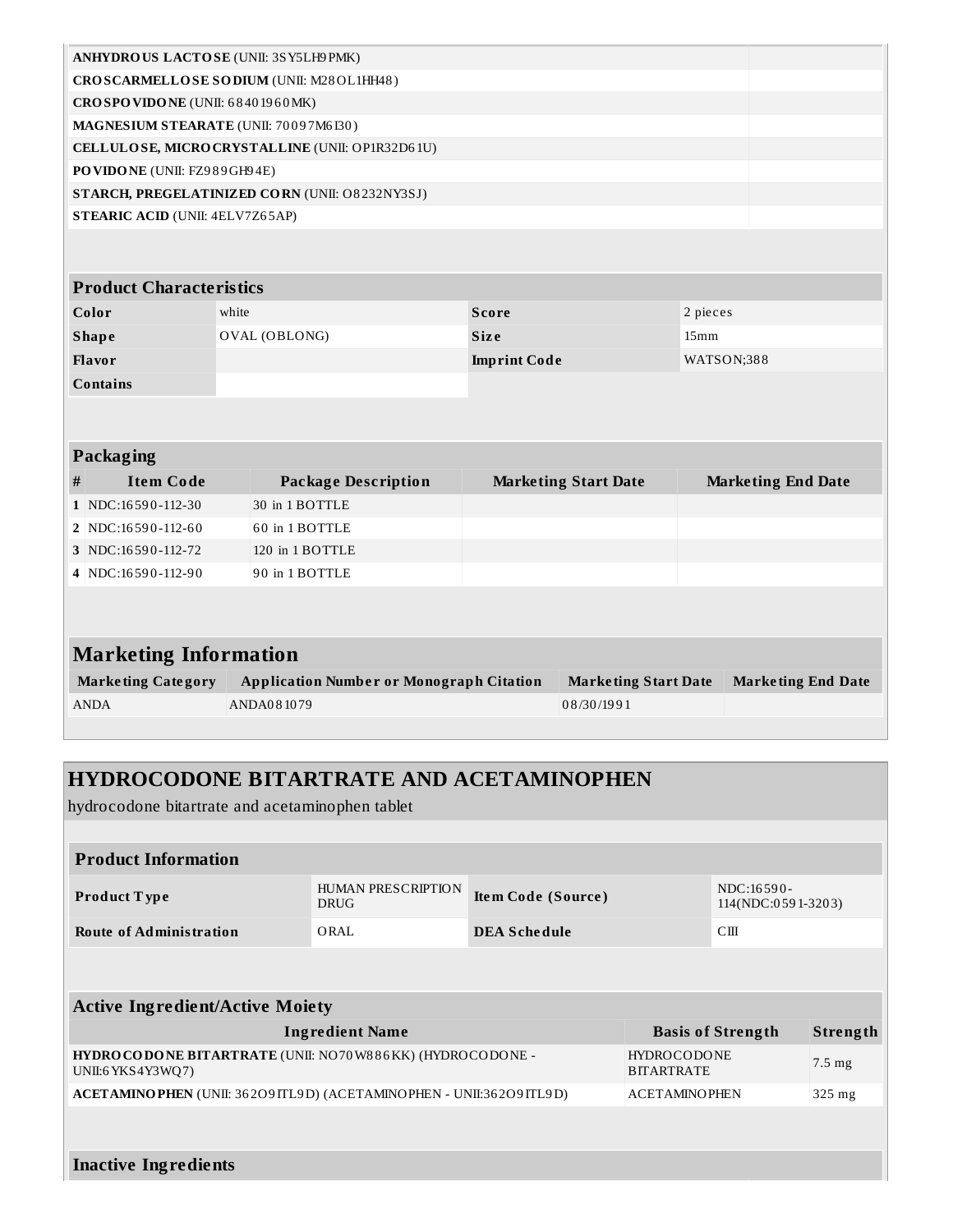|   | ANHYDROUS LACTOSE (UNII: 3SY5LH9 PMK) |       |                                                 |                             |                           |  |  |
|---|---------------------------------------|-------|-------------------------------------------------|-----------------------------|---------------------------|--|--|
|   |                                       |       | CROSCARMELLOSE SODIUM (UNII: M28OL1HH48)        |                             |                           |  |  |
|   | CROSPOVIDONE (UNII: 68401960MK)       |       |                                                 |                             |                           |  |  |
|   | MAGNESIUM STEARATE (UNII: 70097M6I30) |       |                                                 |                             |                           |  |  |
|   |                                       |       | CELLULOSE, MICRO CRYSTALLINE (UNII: OP1R32D61U) |                             |                           |  |  |
|   | PO VIDO NE (UNII: FZ989GH94E)         |       |                                                 |                             |                           |  |  |
|   |                                       |       | STARCH, PREGELATINIZED CORN (UNII: O8232NY3SJ)  |                             |                           |  |  |
|   | STEARIC ACID (UNII: 4ELV7Z65AP)       |       |                                                 |                             |                           |  |  |
|   |                                       |       |                                                 |                             |                           |  |  |
|   | <b>Product Characteristics</b>        |       |                                                 |                             |                           |  |  |
|   | Color                                 | white |                                                 | Score                       | 2 pieces                  |  |  |
|   | <b>Shape</b>                          |       | OVAL (OBLONG)                                   | <b>Size</b>                 | 15mm                      |  |  |
|   | Flavor                                |       |                                                 | <b>Imprint Code</b>         | WATSON;388                |  |  |
|   | Contains                              |       |                                                 |                             |                           |  |  |
|   |                                       |       |                                                 |                             |                           |  |  |
|   | Packaging                             |       |                                                 |                             |                           |  |  |
| # | <b>Item Code</b>                      |       | <b>Package Description</b>                      | <b>Marketing Start Date</b> | <b>Marketing End Date</b> |  |  |
|   | 1 NDC:16590-112-30                    |       | 30 in 1 BOTTLE                                  |                             |                           |  |  |

**Application Number or Monograph Citation** 

hydrocodone bitartrate and acetaminophen tablet

ANDA081079

 $60$  in 1 BOTTLE

120 in 1 BOTTLE

90 in 1 BOTTLE

2 NDC:16590-112-60

3 NDC:16590-112-72

4 NDC:16590-112-90

**Marketing Category** 

ANDA

**Marketing Information** 

| <b>Product Information</b>                                                                                                |                                                                                                |                     |                  |                                  |          |  |
|---------------------------------------------------------------------------------------------------------------------------|------------------------------------------------------------------------------------------------|---------------------|------------------|----------------------------------|----------|--|
| <b>Product Type</b>                                                                                                       | <b>HUMAN PRESCRIPTION</b><br><b>DRUG</b>                                                       | Item Code (Source)  |                  | NDC:16590-<br>114(NDC:0591-3203) |          |  |
| <b>Route of Administration</b>                                                                                            | ORAL                                                                                           | <b>DEA Schedule</b> |                  | C <sub>III</sub>                 |          |  |
|                                                                                                                           |                                                                                                |                     |                  |                                  |          |  |
| <b>Active Ingredient/Active Moiety</b>                                                                                    |                                                                                                |                     |                  |                                  |          |  |
|                                                                                                                           | <b>Ingredient Name</b>                                                                         |                     |                  | <b>Basis of Strength</b>         | Strength |  |
| HYDRO CODONE BITARTRATE (UNII: NO70W886KK) (HYDROCODONE -<br><b>HYDROCODONE</b><br><b>BITARTRATE</b><br>UNII:6 YKS4Y3WQ7) |                                                                                                |                     | $7.5 \text{ mg}$ |                                  |          |  |
|                                                                                                                           | ACETAMINO PHEN (UNII: 36209 ITL9D) (ACETAMINO PHEN - UNII:36209 ITL9D)<br><b>ACETAMINOPHEN</b> |                     |                  |                                  | $325$ mg |  |
|                                                                                                                           |                                                                                                |                     |                  |                                  |          |  |
| <b>Inactive Ingredients</b>                                                                                               |                                                                                                |                     |                  |                                  |          |  |

**Marketing End Date** 

**Marketing Start Date** 

08/30/1991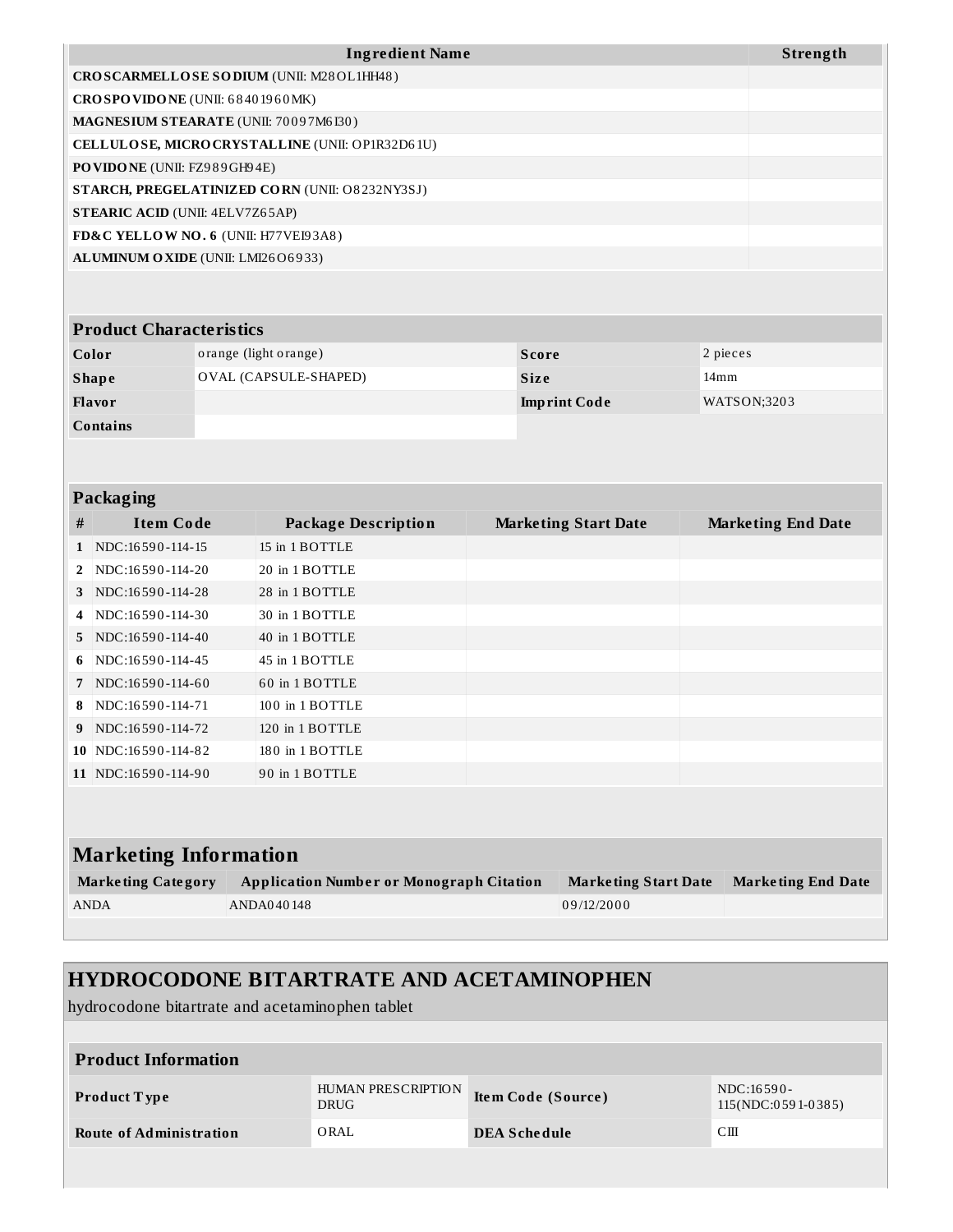| <b>Ingredient Name</b>                          | Strength |
|-------------------------------------------------|----------|
| CROSCARMELLOSE SODIUM (UNII: M28OL1HH48)        |          |
| CROSPOVIDONE (UNII: 68401960MK)                 |          |
| MAGNESIUM STEARATE (UNII: 70097M6I30)           |          |
| CELLULOSE, MICRO CRYSTALLINE (UNII: OP1R32D61U) |          |
| <b>PO VIDONE</b> (UNII: FZ989GH94E)             |          |
| STARCH, PREGELATINIZED CORN (UNII: O8232NY3SJ)  |          |
| <b>STEARIC ACID (UNII: 4ELV7Z65AP)</b>          |          |
| FD&C YELLOW NO. 6 (UNII: H77VEI93A8)            |          |
| ALUMINUM OXIDE (UNII: LMI2606933)               |          |

# **Product Characteristics**

| Color         | orange (light orange) | Score               | 2 pieces         |
|---------------|-----------------------|---------------------|------------------|
| <b>Shape</b>  | OVAL (CAPSULE-SHAPED) | <b>Size</b>         | 14 <sub>mm</sub> |
| <b>Flavor</b> |                       | <b>Imprint Code</b> | WATSON;3203      |
| Contains      |                       |                     |                  |

# **Packaging**

| #              | <b>Item Code</b>    | <b>Package Description</b> | <b>Marketing Start Date</b> | <b>Marketing End Date</b> |
|----------------|---------------------|----------------------------|-----------------------------|---------------------------|
| $\mathbf{1}$   | NDC:16590-114-15    | 15 in 1 BOTTLE             |                             |                           |
| $2^{\circ}$    | NDC:16590-114-20    | 20 in 1 BOTTLE             |                             |                           |
| 3              | NDC:16590-114-28    | 28 in 1 BOTTLE             |                             |                           |
| $\overline{4}$ | NDC:16590-114-30    | 30 in 1 BOTTLE             |                             |                           |
| 5 <sup>1</sup> | NDC:16590-114-40    | 40 in 1 BOTTLE             |                             |                           |
| 6              | NDC:16590-114-45    | 45 in 1 BOTTLE             |                             |                           |
| $7^{\circ}$    | NDC:16590-114-60    | 60 in 1 BOTTLE             |                             |                           |
| 8              | NDC:16590-114-71    | $100$ in $1$ BOTTLE        |                             |                           |
| 9              | NDC:16590-114-72    | 120 in 1 BOTTLE            |                             |                           |
|                | 10 NDC:16590-114-82 | 180 in 1 BOTTLE            |                             |                           |
|                | 11 NDC:16590-114-90 | 90 in 1 BOTTLE             |                             |                           |

| <b>Marketing Information</b> |                                                 |                             |                           |  |
|------------------------------|-------------------------------------------------|-----------------------------|---------------------------|--|
| <b>Marketing Category</b>    | <b>Application Number or Monograph Citation</b> | <b>Marketing Start Date</b> | <b>Marketing End Date</b> |  |
| <b>ANDA</b>                  | ANDA040148                                      | 09/12/2000                  |                           |  |
|                              |                                                 |                             |                           |  |

# **HYDROCODONE BITARTRATE AND ACETAMINOPHEN**

hydrocodone bitartrate and acetaminophen tablet

| <b>Product Information</b> |                                   |                    |                                  |  |
|----------------------------|-----------------------------------|--------------------|----------------------------------|--|
| Product Type               | HUMAN PRESCRIPTION<br><b>DRUG</b> | Item Code (Source) | NDC:16590-<br>115(NDC:0591-0385) |  |
| Route of Administration    | ORAL                              | DEA Schedule       | CШ                               |  |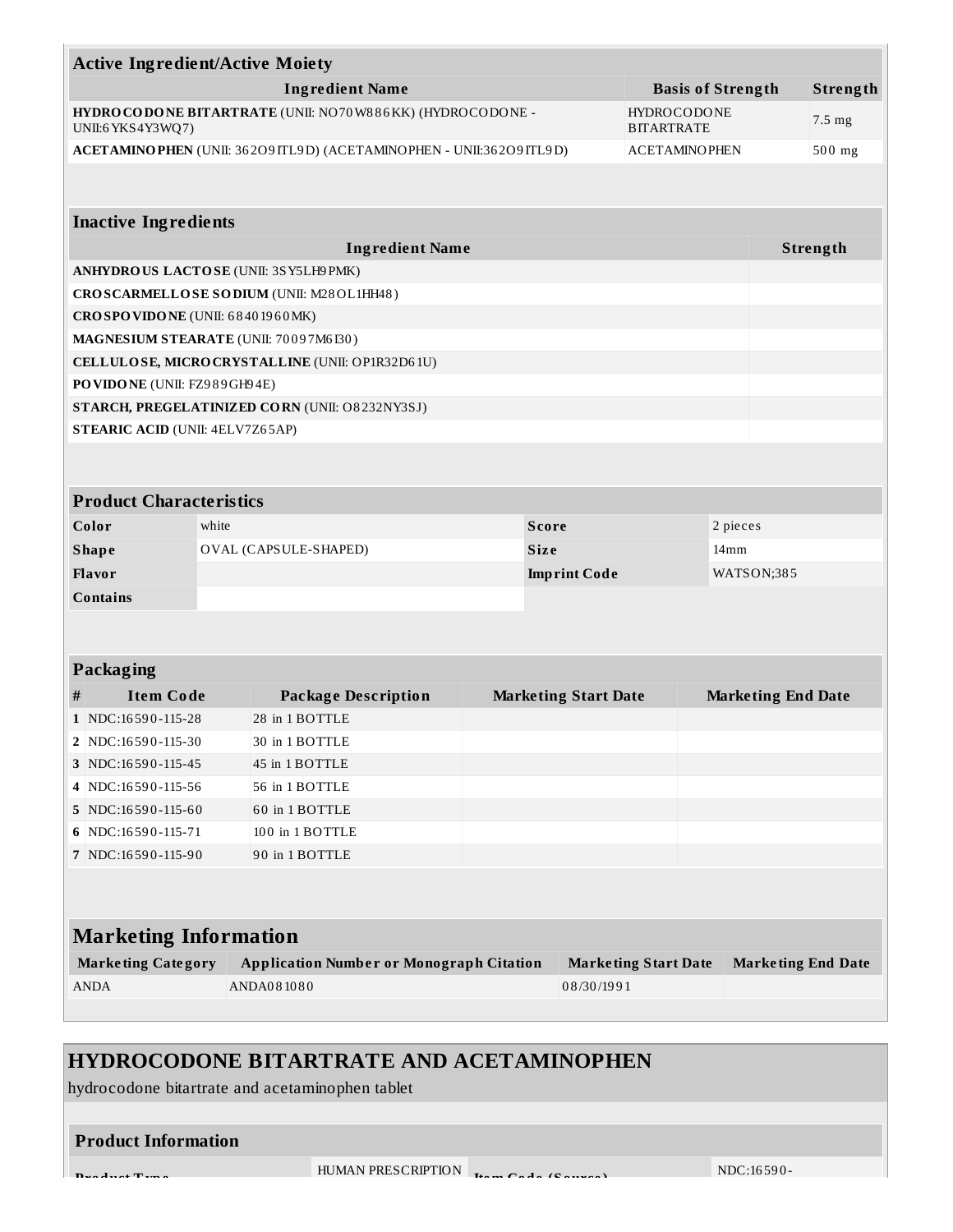| <b>Active Ingredient/Active Moiety</b>                                         |                                         |                  |  |  |
|--------------------------------------------------------------------------------|-----------------------------------------|------------------|--|--|
| <b>Ingredient Name</b>                                                         | <b>Basis of Strength</b>                | Strength         |  |  |
| HYDRO CODONE BITARTRATE (UNII: NO70W886KK) (HYDROCODONE -<br>UNII:6 YKS4Y3WQ7) | <b>HYDROCODONE</b><br><b>BITARTRATE</b> | $7.5 \text{ mg}$ |  |  |
| ACETAMINO PHEN (UNII: 36209 ITL9D) (ACETAMINO PHEN - UNII:36209 ITL9D)         | <b>ACETAMINOPHEN</b>                    | $500$ mg         |  |  |

# **Inactive Ingredients**

| <b>Ingredient Name</b>                          | Strength |
|-------------------------------------------------|----------|
| ANHYDROUS LACTOSE (UNII: 3SY5LH9 PMK)           |          |
| CROSCARMELLOSE SODIUM (UNII: M28OL1HH48)        |          |
| $CRO$ SPO VIDO NE (UNII: 6840 1960 MK)          |          |
| MAGNESIUM STEARATE (UNII: 70097M6I30)           |          |
| CELLULOSE, MICRO CRYSTALLINE (UNII: OP1R32D61U) |          |
| <b>PO VIDO NE (UNII: FZ989GH94E)</b>            |          |
| STARCH, PREGELATINIZED CORN (UNII: 08232NY3SJ)  |          |
| <b>STEARIC ACID (UNII: 4ELV7Z65AP)</b>          |          |

# **Product Characteristics**

| Color        | white                 | <b>Score</b>        | 2 pieces   |
|--------------|-----------------------|---------------------|------------|
| <b>Shape</b> | OVAL (CAPSULE-SHAPED) | <b>Size</b>         | $14$ mm    |
| Flavor       |                       | <b>Imprint Code</b> | WATSON;385 |
| Contains     |                       |                     |            |

# **Packaging**

|   | $\cdots$                           |                            |                             |                           |
|---|------------------------------------|----------------------------|-----------------------------|---------------------------|
| # | <b>Item Code</b>                   | <b>Package Description</b> | <b>Marketing Start Date</b> | <b>Marketing End Date</b> |
|   | 1 NDC:16590-115-28                 | 28 in 1 BOTTLE             |                             |                           |
|   | 2 NDC:16590-115-30                 | 30 in 1 BOTTLE             |                             |                           |
|   | 3 NDC:16590-115-45                 | 45 in 1 BOTTLE             |                             |                           |
|   | 4 NDC:16590-115-56                 | 56 in 1 BOTTLE             |                             |                           |
|   | $5 \cdot \text{NDC}$ :16590-115-60 | 60 in 1 BOTTLE             |                             |                           |
|   | 6 NDC:16590-115-71                 | $100$ in $1$ BOTTLE        |                             |                           |
|   | 7 NDC:16590-115-90                 | 90 in 1 BOTTLE             |                             |                           |

# **Marketing Information**

| <b>Marketing Category</b> | <b>Application Number or Monograph Citation</b> | <b>Marketing Start Date</b> | Marketing End Date |
|---------------------------|-------------------------------------------------|-----------------------------|--------------------|
| <b>ANDA</b>               | ANDA081080                                      | 08/30/1991                  |                    |
|                           |                                                 |                             |                    |

# **HYDROCODONE BITARTRATE AND ACETAMINOPHEN**

hydrocodone bitartrate and acetaminophen tablet

**Product T ype**

HUMAN PRESCRIPTION **Ite m Code (Source )**

NDC:16 59 0 -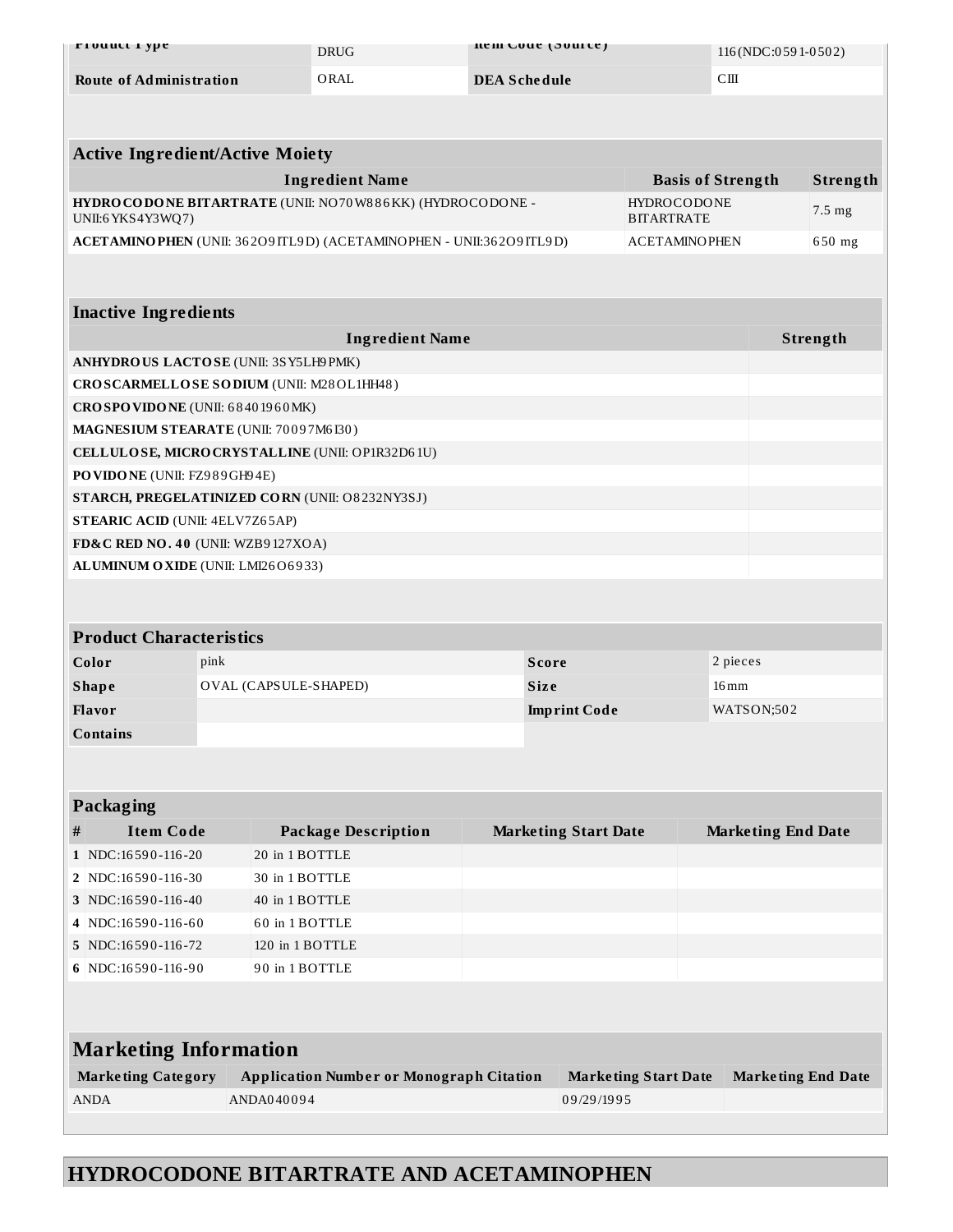| rrouucl 1 ype           | <b>DRUG</b> | THE III COUP (SOULCE) | $116(NDC:0591-0502)$ |
|-------------------------|-------------|-----------------------|----------------------|
| Route of Administration | ORAL        | DEA Schedule          | СШ                   |

| <b>Active Ingredient/Active Moiety</b>                                        |                                  |                  |  |  |  |
|-------------------------------------------------------------------------------|----------------------------------|------------------|--|--|--|
| Ingredient Name                                                               | <b>Basis of Strength</b>         | Strength         |  |  |  |
| HYDROCODONE BITARTRATE (UNII: NO70W886KK) (HYDROCODONE -<br>UNII:6 YKS4Y3WQ7) | HYDROCODONE<br><b>BITARTRATE</b> | $7.5 \text{ mg}$ |  |  |  |
| ACETAMINO PHEN (UNII: 36209 ITL9D) (ACETAMINO PHEN - UNII:36209 ITL9D)        | <b>ACETAMINOPHEN</b>             | $650$ mg         |  |  |  |

|  | Inactive Ingredients |  |
|--|----------------------|--|
|  |                      |  |

| <b>Ingredient Name</b>                          | Strength |
|-------------------------------------------------|----------|
| ANHYDROUS LACTOSE (UNII: 3SY5LH9PMK)            |          |
| CROSCARMELLOSE SODIUM (UNII: M28OL1HH48)        |          |
| $CRO$ SPO VIDO NE (UNII: 6840 1960 MK)          |          |
| <b>MAGNESIUM STEARATE (UNII: 70097M6I30)</b>    |          |
| CELLULOSE, MICRO CRYSTALLINE (UNII: OP1R32D61U) |          |
| <b>PO VIDO NE (UNII: FZ989GH94E)</b>            |          |
| STARCH, PREGELATINIZED CORN (UNII: O8232NY3SJ)  |          |
| <b>STEARIC ACID (UNII: 4ELV7Z65AP)</b>          |          |
| FD&C RED NO. 40 (UNII: WZB9127XOA)              |          |
| ALUMINUM OXIDE (UNII: LMI2606933)               |          |

| <b>Product Characteristics</b> |                       |                     |                    |  |  |  |
|--------------------------------|-----------------------|---------------------|--------------------|--|--|--|
| Color                          | pink                  | <b>Score</b>        | 2 pieces           |  |  |  |
| <b>Shape</b>                   | OVAL (CAPSULE-SHAPED) | <b>Size</b>         | $16 \,\mathrm{mm}$ |  |  |  |
| Flavor                         |                       | <b>Imprint Code</b> | WATSON;502         |  |  |  |
| <b>Contains</b>                |                       |                     |                    |  |  |  |

|   | Packaging                    |                                                 |  |                             |                           |  |  |
|---|------------------------------|-------------------------------------------------|--|-----------------------------|---------------------------|--|--|
| # | <b>Item Code</b>             | <b>Package Description</b>                      |  | <b>Marketing Start Date</b> | <b>Marketing End Date</b> |  |  |
|   | $1$ NDC:16590-116-20         | 20 in 1 BOTTLE                                  |  |                             |                           |  |  |
|   | 2   NDC:16590-116-30         | 30 in 1 BOTTLE                                  |  |                             |                           |  |  |
|   | 3 NDC:16590-116-40           | 40 in 1 BOTTLE                                  |  |                             |                           |  |  |
|   | 4   NDC:16590-116-60         | 60 in 1 BOTTLE                                  |  |                             |                           |  |  |
|   | 5 NDC:16590-116-72           | 120 in 1 BOTTLE                                 |  |                             |                           |  |  |
|   | 6   NDC:16590-116-90         | 90 in 1 BOTTLE                                  |  |                             |                           |  |  |
|   |                              |                                                 |  |                             |                           |  |  |
|   |                              |                                                 |  |                             |                           |  |  |
|   | <b>Marketing Information</b> |                                                 |  |                             |                           |  |  |
|   | <b>Marketing Category</b>    | <b>Application Number or Monograph Citation</b> |  | <b>Marketing Start Date</b> | <b>Marketing End Date</b> |  |  |
|   | <b>ANDA</b>                  | ANDA040094                                      |  | 09/29/1995                  |                           |  |  |
|   |                              |                                                 |  |                             |                           |  |  |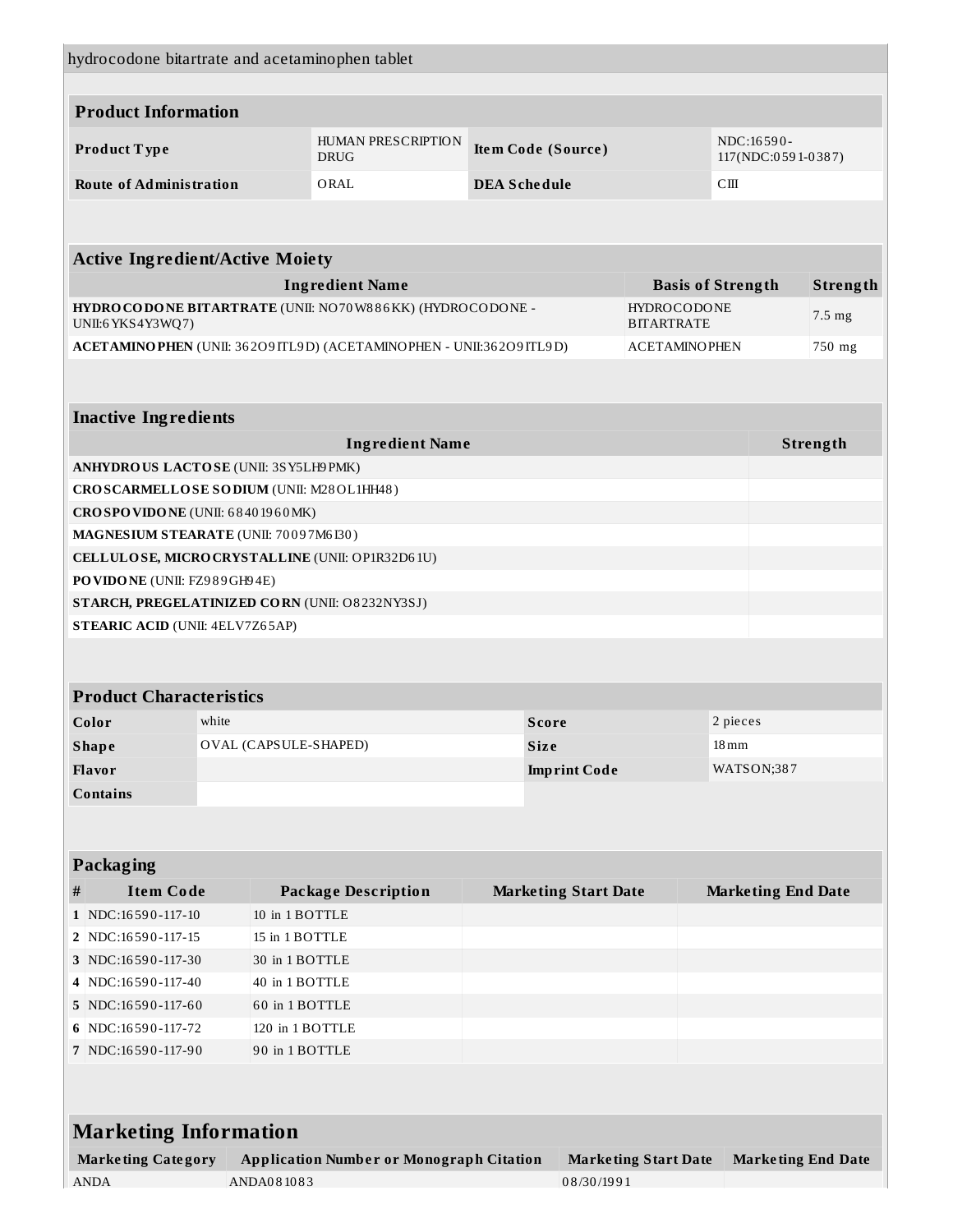|                                                                                                | hydrocodone bitartrate and acetaminophen tablet |       |                                                          |             |                             |                                         |                  |                                  |                           |
|------------------------------------------------------------------------------------------------|-------------------------------------------------|-------|----------------------------------------------------------|-------------|-----------------------------|-----------------------------------------|------------------|----------------------------------|---------------------------|
|                                                                                                | <b>Product Information</b>                      |       |                                                          |             |                             |                                         |                  |                                  |                           |
|                                                                                                | Product Type                                    |       | HUMAN PRESCRIPTION<br><b>DRUG</b>                        |             | Item Code (Source)          |                                         |                  | NDC:16590-<br>117(NDC:0591-0387) |                           |
|                                                                                                | <b>Route of Administration</b>                  |       | ORAL                                                     |             | <b>DEA Schedule</b>         |                                         | C <sub>III</sub> |                                  |                           |
|                                                                                                |                                                 |       |                                                          |             |                             |                                         |                  |                                  |                           |
|                                                                                                | <b>Active Ingredient/Active Moiety</b>          |       |                                                          |             |                             |                                         |                  |                                  |                           |
|                                                                                                |                                                 |       | <b>Ingredient Name</b>                                   |             |                             | <b>Basis of Strength</b>                |                  |                                  | Strength                  |
|                                                                                                | UNII:6 YKS4Y3WQ7)                               |       | HYDROCODONE BITARTRATE (UNII: NO70W886KK) (HYDROCODONE - |             |                             | <b>HYDROCODONE</b><br><b>BITARTRATE</b> |                  |                                  | 7.5 mg                    |
| ACETAMINO PHEN (UNII: 36209 ITL9D) (ACETAMINO PHEN - UNII:36209 ITL9D)<br><b>ACETAMINOPHEN</b> |                                                 |       |                                                          |             |                             |                                         | 750 mg           |                                  |                           |
|                                                                                                |                                                 |       |                                                          |             |                             |                                         |                  |                                  |                           |
|                                                                                                | <b>Inactive Ingredients</b>                     |       |                                                          |             |                             |                                         |                  |                                  |                           |
|                                                                                                |                                                 |       | <b>Ingredient Name</b>                                   |             |                             |                                         |                  |                                  | Strength                  |
|                                                                                                | ANHYDROUS LACTOSE (UNII: 3SY5LH9PMK)            |       |                                                          |             |                             |                                         |                  |                                  |                           |
|                                                                                                | CROSCARMELLOSE SODIUM (UNII: M28OL1HH48)        |       |                                                          |             |                             |                                         |                  |                                  |                           |
|                                                                                                | CROSPOVIDONE (UNII: 68401960MK)                 |       |                                                          |             |                             |                                         |                  |                                  |                           |
|                                                                                                | MAGNESIUM STEARATE (UNII: 70097M6I30)           |       |                                                          |             |                             |                                         |                  |                                  |                           |
|                                                                                                |                                                 |       | CELLULOSE, MICRO CRYSTALLINE (UNII: OP1R32D61U)          |             |                             |                                         |                  |                                  |                           |
|                                                                                                | PO VIDO NE (UNII: FZ989GH94E)                   |       |                                                          |             |                             |                                         |                  |                                  |                           |
|                                                                                                |                                                 |       | STARCH, PREGELATINIZED CORN (UNII: O8232NY3SJ)           |             |                             |                                         |                  |                                  |                           |
|                                                                                                | <b>STEARIC ACID (UNII: 4ELV7Z65AP)</b>          |       |                                                          |             |                             |                                         |                  |                                  |                           |
|                                                                                                |                                                 |       |                                                          |             |                             |                                         |                  |                                  |                           |
|                                                                                                | <b>Product Characteristics</b>                  |       |                                                          |             |                             |                                         |                  |                                  |                           |
|                                                                                                | Color                                           | white |                                                          |             | Score                       |                                         | 2 pieces         |                                  |                           |
|                                                                                                | <b>Shape</b>                                    |       | OVAL (CAPSULE-SHAPED)                                    | <b>Size</b> |                             |                                         | $18\,\rm{mm}$    |                                  |                           |
|                                                                                                | Flavor                                          |       |                                                          |             | <b>Imprint Code</b>         |                                         | WATSON;387       |                                  |                           |
|                                                                                                | <b>Contains</b>                                 |       |                                                          |             |                             |                                         |                  |                                  |                           |
|                                                                                                |                                                 |       |                                                          |             |                             |                                         |                  |                                  |                           |
|                                                                                                | Packaging                                       |       |                                                          |             |                             |                                         |                  |                                  |                           |
| #                                                                                              | <b>Item Code</b>                                |       | <b>Package Description</b>                               |             | <b>Marketing Start Date</b> |                                         |                  | <b>Marketing End Date</b>        |                           |
|                                                                                                | $1$ NDC:16590-117-10                            |       | 10 in 1 BOTTLE                                           |             |                             |                                         |                  |                                  |                           |
|                                                                                                | 2 NDC:16590-117-15                              |       | 15 in 1 BOTTLE                                           |             |                             |                                         |                  |                                  |                           |
|                                                                                                | 3 NDC:16590-117-30                              |       | 30 in 1 BOTTLE                                           |             |                             |                                         |                  |                                  |                           |
|                                                                                                | 4 NDC:16590-117-40                              |       | 40 in 1 BOTTLE                                           |             |                             |                                         |                  |                                  |                           |
|                                                                                                | 5 NDC:16590-117-60                              |       | 60 in 1 BOTTLE                                           |             |                             |                                         |                  |                                  |                           |
|                                                                                                | 6 NDC:16590-117-72                              |       | 120 in 1 BOTTLE                                          |             |                             |                                         |                  |                                  |                           |
|                                                                                                | 7 NDC:16590-117-90                              |       | 90 in 1 BOTTLE                                           |             |                             |                                         |                  |                                  |                           |
|                                                                                                |                                                 |       |                                                          |             |                             |                                         |                  |                                  |                           |
|                                                                                                | <b>Marketing Information</b>                    |       |                                                          |             |                             |                                         |                  |                                  |                           |
|                                                                                                | <b>Marketing Category</b>                       |       | <b>Application Number or Monograph Citation</b>          |             |                             | <b>Marketing Start Date</b>             |                  |                                  | <b>Marketing End Date</b> |
|                                                                                                | <b>ANDA</b>                                     |       | ANDA081083                                               |             | 08/30/1991                  |                                         |                  |                                  |                           |
|                                                                                                |                                                 |       |                                                          |             |                             |                                         |                  |                                  |                           |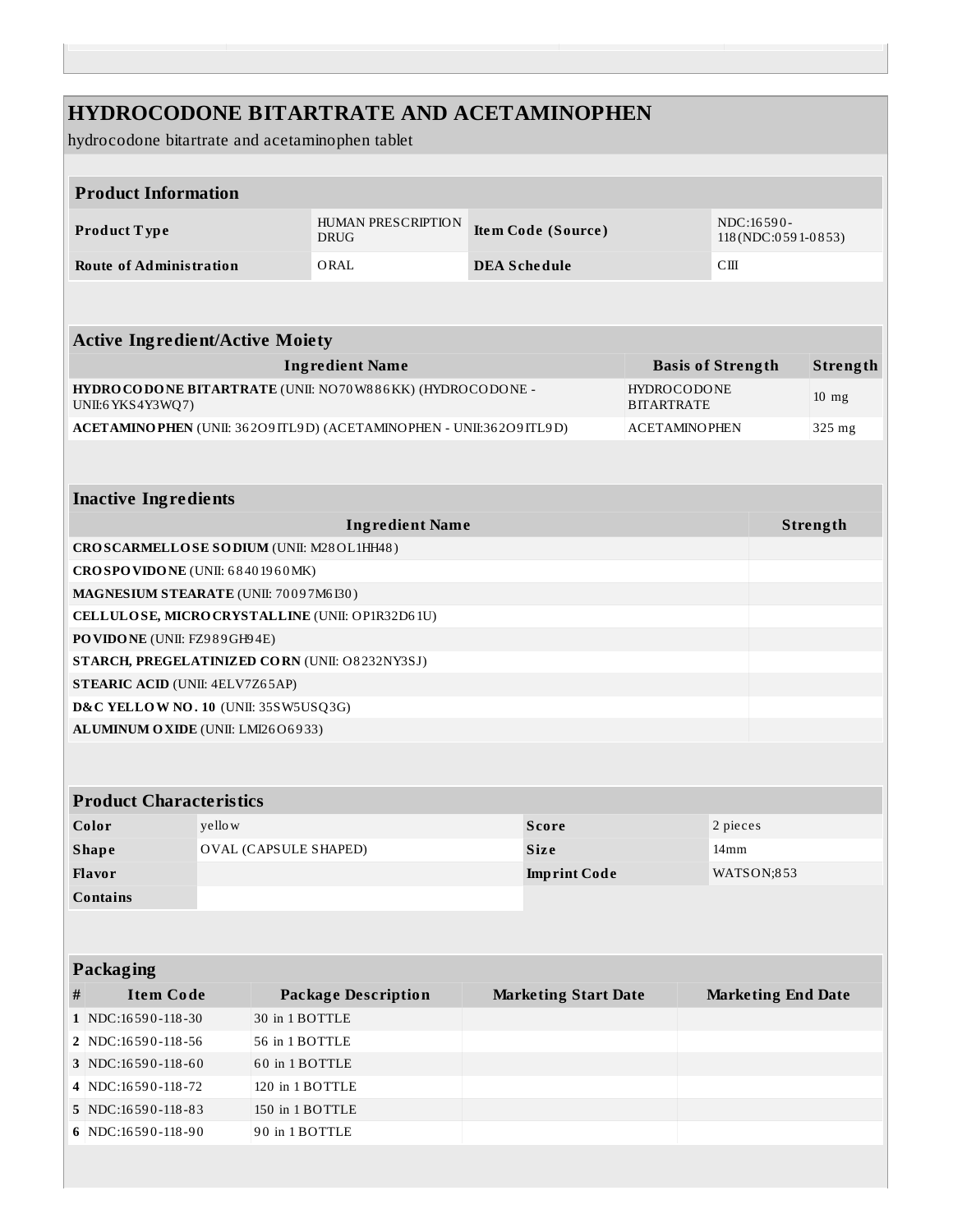hydrocodone bitartrate and acetaminophen tablet

|                                                | <b>Product Information</b>                                                                                               |                              |                                                                      |                     |                             |                      |                                   |          |
|------------------------------------------------|--------------------------------------------------------------------------------------------------------------------------|------------------------------|----------------------------------------------------------------------|---------------------|-----------------------------|----------------------|-----------------------------------|----------|
| Product Type                                   |                                                                                                                          |                              | HUMAN PRESCRIPTION<br><b>DRUG</b>                                    | Item Code (Source)  |                             |                      | NDC:16590-<br>118 (NDC:0591-0853) |          |
| <b>Route of Administration</b>                 |                                                                                                                          |                              | ORAL                                                                 | <b>DEA Schedule</b> |                             |                      | C <sub>III</sub>                  |          |
|                                                |                                                                                                                          |                              |                                                                      |                     |                             |                      |                                   |          |
| <b>Active Ingredient/Active Moiety</b>         |                                                                                                                          |                              |                                                                      |                     |                             |                      |                                   |          |
|                                                |                                                                                                                          |                              | <b>Ingredient Name</b>                                               |                     |                             |                      | <b>Basis of Strength</b>          | Strength |
|                                                | HYDROCODONE BITARTRATE (UNII: NO70W886KK) (HYDROCODONE -<br><b>HYDROCODONE</b><br>UNII:6 YKS4Y3WQ7)<br><b>BITARTRATE</b> |                              |                                                                      |                     |                             |                      |                                   | $10$ mg  |
|                                                |                                                                                                                          |                              | ACETAMINO PHEN (UNII: 36209ITL9D) (ACETAMINO PHEN - UNII:36209ITL9D) |                     |                             | <b>ACETAMINOPHEN</b> |                                   | 325 mg   |
|                                                |                                                                                                                          |                              |                                                                      |                     |                             |                      |                                   |          |
| <b>Inactive Ingredients</b>                    |                                                                                                                          |                              |                                                                      |                     |                             |                      |                                   |          |
| <b>Ingredient Name</b><br>Strength             |                                                                                                                          |                              |                                                                      |                     |                             |                      |                                   |          |
| CROSCARMELLOSE SODIUM (UNII: M28OL1HH48)       |                                                                                                                          |                              |                                                                      |                     |                             |                      |                                   |          |
|                                                | CROSPOVIDONE (UNII: 68401960MK)                                                                                          |                              |                                                                      |                     |                             |                      |                                   |          |
| MAGNESIUM STEARATE (UNII: 70097M6I30)          |                                                                                                                          |                              |                                                                      |                     |                             |                      |                                   |          |
|                                                |                                                                                                                          |                              | CELLULOSE, MICRO CRYSTALLINE (UNII: OP1R32D61U)                      |                     |                             |                      |                                   |          |
| PO VIDO NE (UNII: FZ989GH94E)                  |                                                                                                                          |                              |                                                                      |                     |                             |                      |                                   |          |
| STARCH, PREGELATINIZED CORN (UNII: 08232NY3SJ) |                                                                                                                          |                              |                                                                      |                     |                             |                      |                                   |          |
| <b>STEARIC ACID (UNII: 4ELV7Z65AP)</b>         |                                                                                                                          |                              |                                                                      |                     |                             |                      |                                   |          |
| D&C YELLOW NO. 10 (UNII: 35SW5USQ3G)           |                                                                                                                          |                              |                                                                      |                     |                             |                      |                                   |          |
| ALUMINUM OXIDE (UNII: LMI26O6933)              |                                                                                                                          |                              |                                                                      |                     |                             |                      |                                   |          |
|                                                |                                                                                                                          |                              |                                                                      |                     |                             |                      |                                   |          |
| <b>Product Characteristics</b>                 |                                                                                                                          |                              |                                                                      |                     |                             |                      |                                   |          |
| Color                                          | yello w                                                                                                                  |                              |                                                                      |                     | <b>Score</b>                |                      | 2 pieces                          |          |
| <b>Shape</b>                                   |                                                                                                                          | <b>OVAL (CAPSULE SHAPED)</b> |                                                                      |                     | <b>Size</b>                 | $14$ mm              |                                   |          |
| Flavor                                         |                                                                                                                          |                              |                                                                      |                     | <b>Imprint Code</b>         |                      | WATSON;853                        |          |
| <b>Contains</b>                                |                                                                                                                          |                              |                                                                      |                     |                             |                      |                                   |          |
|                                                |                                                                                                                          |                              |                                                                      |                     |                             |                      |                                   |          |
|                                                |                                                                                                                          |                              |                                                                      |                     |                             |                      |                                   |          |
| <b>Packaging</b>                               |                                                                                                                          |                              |                                                                      |                     |                             |                      |                                   |          |
| <b>Item Code</b><br>#                          |                                                                                                                          |                              | <b>Package Description</b>                                           |                     | <b>Marketing Start Date</b> |                      | <b>Marketing End Date</b>         |          |
| 1 NDC:16590-118-30                             |                                                                                                                          | 30 in 1 BOTTLE               |                                                                      |                     |                             |                      |                                   |          |
| 2 NDC:16590-118-56                             |                                                                                                                          | 56 in 1 BOTTLE               |                                                                      |                     |                             |                      |                                   |          |
| 3 NDC:16590-118-60                             |                                                                                                                          | 60 in 1 BOTTLE               |                                                                      |                     |                             |                      |                                   |          |
| 4 NDC:16590-118-72                             |                                                                                                                          | 120 in 1 BOTTLE              |                                                                      |                     |                             |                      |                                   |          |
| 5 NDC:16590-118-83                             |                                                                                                                          | 150 in 1 BOTTLE              |                                                                      |                     |                             |                      |                                   |          |
| 6 NDC:16590-118-90                             |                                                                                                                          | 90 in 1 BOTTLE               |                                                                      |                     |                             |                      |                                   |          |
|                                                |                                                                                                                          |                              |                                                                      |                     |                             |                      |                                   |          |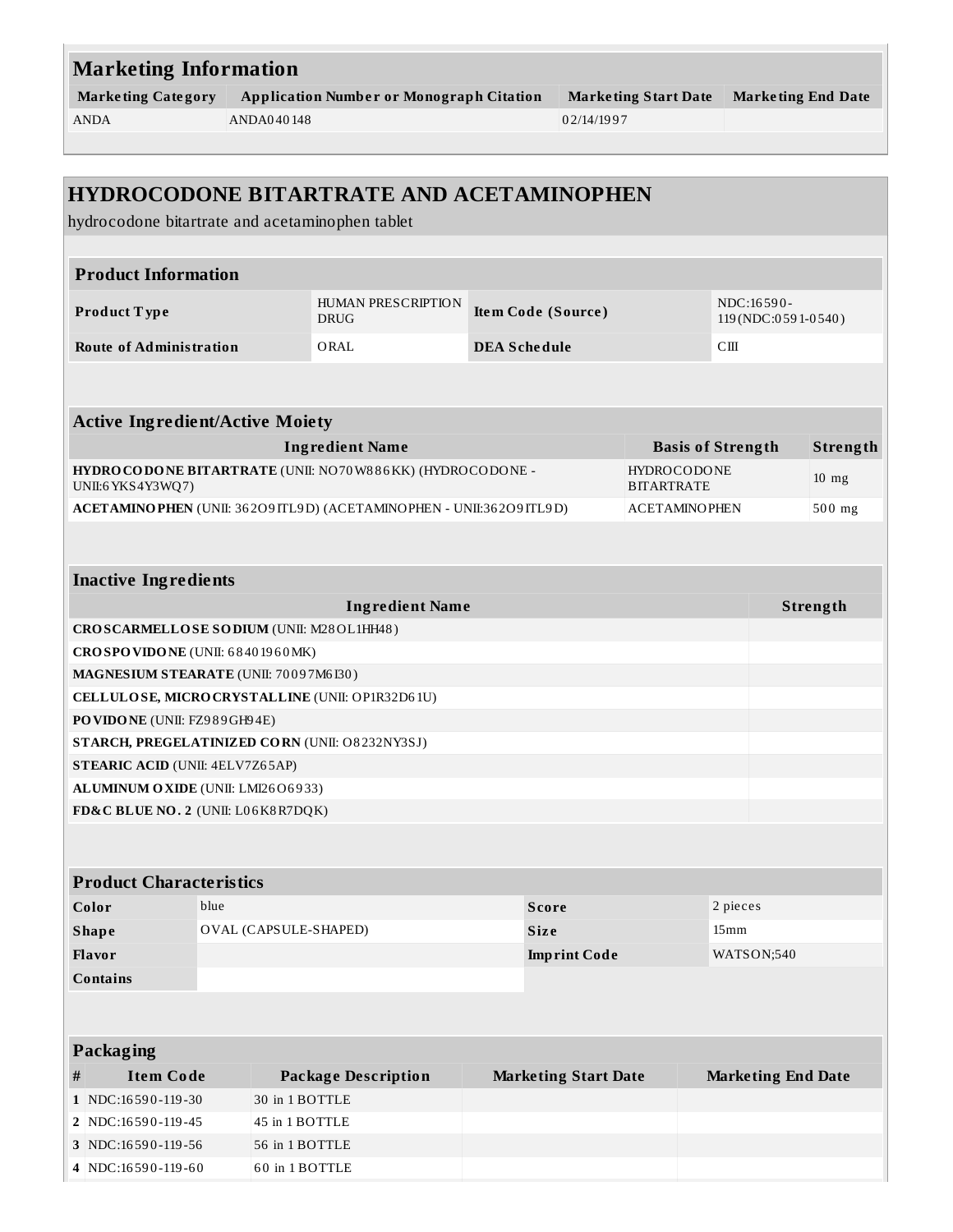| <b>Marketing Information</b> |                                                 |                             |                           |  |  |
|------------------------------|-------------------------------------------------|-----------------------------|---------------------------|--|--|
| <b>Marketing Category</b>    | <b>Application Number or Monograph Citation</b> | <b>Marketing Start Date</b> | <b>Marketing End Date</b> |  |  |
| <b>ANDA</b>                  | ANDA040148                                      | 02/14/1997                  |                           |  |  |
|                              |                                                 |                             |                           |  |  |

| <b>HYDROCODONE BITARTRATE AND ACETAMINOPHEN</b> |                                                 |                                                                      |                     |                     |                                         |                                   |                 |  |
|-------------------------------------------------|-------------------------------------------------|----------------------------------------------------------------------|---------------------|---------------------|-----------------------------------------|-----------------------------------|-----------------|--|
|                                                 | hydrocodone bitartrate and acetaminophen tablet |                                                                      |                     |                     |                                         |                                   |                 |  |
|                                                 |                                                 |                                                                      |                     |                     |                                         |                                   |                 |  |
| <b>Product Information</b>                      |                                                 |                                                                      |                     |                     |                                         |                                   |                 |  |
| Product Type                                    |                                                 | <b>HUMAN PRESCRIPTION</b><br><b>DRUG</b>                             |                     | Item Code (Source)  |                                         | NDC:16590-<br>119 (NDC:0591-0540) |                 |  |
| <b>Route of Administration</b>                  |                                                 | ORAL                                                                 | <b>DEA Schedule</b> |                     |                                         | C <sub>III</sub>                  |                 |  |
|                                                 |                                                 |                                                                      |                     |                     |                                         |                                   |                 |  |
|                                                 |                                                 |                                                                      |                     |                     |                                         |                                   |                 |  |
| <b>Active Ingredient/Active Moiety</b>          |                                                 |                                                                      |                     |                     |                                         |                                   |                 |  |
|                                                 |                                                 | <b>Ingredient Name</b>                                               |                     |                     |                                         | <b>Basis of Strength</b>          | Strength        |  |
| UNII:6 YKS4Y3WQ7)                               |                                                 | HYDROCODONE BITARTRATE (UNII: NO70W886KK) (HYDROCODONE -             |                     |                     | <b>HYDROCODONE</b><br><b>BITARTRATE</b> |                                   | $10 \text{ mg}$ |  |
|                                                 |                                                 | ACETAMINO PHEN (UNII: 36209ITL9D) (ACETAMINO PHEN - UNII:36209ITL9D) |                     |                     | <b>ACETAMINOPHEN</b>                    |                                   | 500 mg          |  |
|                                                 |                                                 |                                                                      |                     |                     |                                         |                                   |                 |  |
|                                                 |                                                 |                                                                      |                     |                     |                                         |                                   |                 |  |
| <b>Inactive Ingredients</b>                     |                                                 |                                                                      |                     |                     |                                         |                                   |                 |  |
|                                                 |                                                 | <b>Ingredient Name</b>                                               |                     |                     |                                         |                                   | Strength        |  |
| CROSCARMELLOSE SODIUM (UNII: M28OL1HH48)        |                                                 |                                                                      |                     |                     |                                         |                                   |                 |  |
| CROSPOVIDONE (UNII: 68401960MK)                 |                                                 |                                                                      |                     |                     |                                         |                                   |                 |  |
| MAGNESIUM STEARATE (UNII: 70097M6I30)           |                                                 | CELLULOSE, MICRO CRYSTALLINE (UNII: OP1R32D61U)                      |                     |                     |                                         |                                   |                 |  |
| PO VIDO NE (UNII: FZ989GH94E)                   |                                                 |                                                                      |                     |                     |                                         |                                   |                 |  |
| STARCH, PREGELATINIZED CORN (UNII: 08232NY3SJ)  |                                                 |                                                                      |                     |                     |                                         |                                   |                 |  |
| <b>STEARIC ACID (UNII: 4ELV7Z65AP)</b>          |                                                 |                                                                      |                     |                     |                                         |                                   |                 |  |
| ALUMINUM OXIDE (UNII: LMI26O6933)               |                                                 |                                                                      |                     |                     |                                         |                                   |                 |  |
| FD&C BLUE NO. 2 (UNII: L06K8R7DQK)              |                                                 |                                                                      |                     |                     |                                         |                                   |                 |  |
|                                                 |                                                 |                                                                      |                     |                     |                                         |                                   |                 |  |
|                                                 |                                                 |                                                                      |                     |                     |                                         |                                   |                 |  |
| <b>Product Characteristics</b>                  |                                                 |                                                                      |                     |                     |                                         |                                   |                 |  |
| Color                                           | blue                                            |                                                                      |                     | <b>Score</b>        |                                         | 2 pieces                          |                 |  |
| <b>Shape</b>                                    | OVAL (CAPSULE-SHAPED)                           |                                                                      |                     | <b>Size</b><br>15mm |                                         |                                   |                 |  |
| Flavor                                          |                                                 |                                                                      |                     | <b>Imprint Code</b> |                                         | WATSON;540                        |                 |  |
| <b>Contains</b>                                 |                                                 |                                                                      |                     |                     |                                         |                                   |                 |  |

| <b>Packaging</b> |                      |                     |                             |                           |  |
|------------------|----------------------|---------------------|-----------------------------|---------------------------|--|
| #                | <b>Item Code</b>     | Package Description | <b>Marketing Start Date</b> | <b>Marketing End Date</b> |  |
|                  | $1$ NDC:16590-119-30 | 30 in 1 BOTTLE      |                             |                           |  |
|                  | 2 NDC:16590-119-45   | $45$ in 1 BOTTLE    |                             |                           |  |
|                  | 3 NDC:16590-119-56   | 56 in 1 BOTTLE      |                             |                           |  |
|                  | 4 NDC:16590-119-60   | 60 in 1 BOTTLE      |                             |                           |  |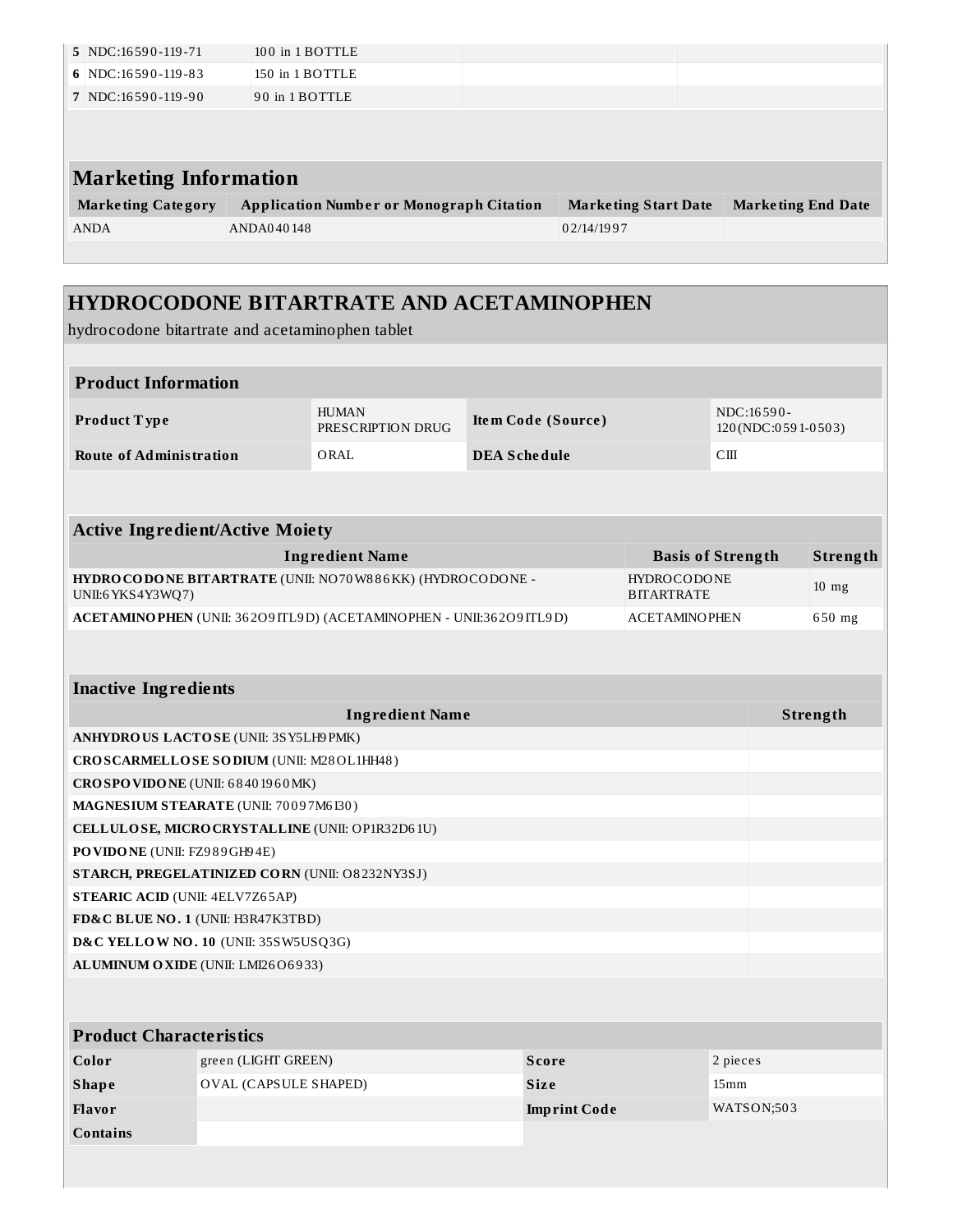| 5 NDC:16590-119-71           | $100$ in $1$ BOTTLE                             |  |                             |                           |
|------------------------------|-------------------------------------------------|--|-----------------------------|---------------------------|
| 6 NDC:16590-119-83           | 150 in 1 BOTTLE                                 |  |                             |                           |
| 7 NDC:16590-119-90           | 90 in 1 BOTTLE                                  |  |                             |                           |
|                              |                                                 |  |                             |                           |
|                              |                                                 |  |                             |                           |
| <b>Marketing Information</b> |                                                 |  |                             |                           |
|                              |                                                 |  |                             |                           |
| <b>Marketing Category</b>    | <b>Application Number or Monograph Citation</b> |  | <b>Marketing Start Date</b> | <b>Marketing End Date</b> |
| <b>ANDA</b>                  | ANDA040148                                      |  | 02/14/1997                  |                           |

hydrocodone bitartrate and acetaminophen tablet

| <b>Product Information</b>     |                                   |                     |                                  |  |
|--------------------------------|-----------------------------------|---------------------|----------------------------------|--|
| <b>Product Type</b>            | <b>HUMAN</b><br>PRESCRIPTION DRUG | Item Code (Source)  | NDC:16590-<br>120(NDC:0591-0503) |  |
| <b>Route of Administration</b> | ORAL                              | <b>DEA Schedule</b> | CIII                             |  |

| <b>Active Ingredient/Active Moiety</b>                                         |                                         |                 |  |
|--------------------------------------------------------------------------------|-----------------------------------------|-----------------|--|
| <b>Ingredient Name</b>                                                         | <b>Basis of Strength</b>                | Strength        |  |
| HYDRO CODONE BITARTRATE (UNII: NO70W886KK) (HYDROCODONE -<br>UNII:6 YKS4Y3WQ7) | <b>HYDROCODONE</b><br><b>BITARTRATE</b> | $10 \text{ mg}$ |  |
| ACETAMINO PHEN (UNII: 36209 ITL9D) (ACETAMINO PHEN - UNII:36209 ITL9D)         | <b>ACETAMINOPHEN</b>                    | $650$ mg        |  |

| <b>Inactive Ingredients</b>                     |          |  |  |
|-------------------------------------------------|----------|--|--|
| <b>Ingredient Name</b>                          | Strength |  |  |
| ANHYDROUS LACTOSE (UNII: 3SY5LH9PMK)            |          |  |  |
| CROSCARMELLOSE SODIUM (UNII: M28OL1HH48)        |          |  |  |
| $CRO$ SPO VIDO NE (UNII: 6840 1960 MK)          |          |  |  |
| <b>MAGNESIUM STEARATE (UNII: 70097M6I30)</b>    |          |  |  |
| CELLULOSE, MICRO CRYSTALLINE (UNII: OP1R32D61U) |          |  |  |
| PO VIDONE (UNII: FZ989GH94E)                    |          |  |  |
| STARCH, PREGELATINIZED CORN (UNII: 08232NY3SJ)  |          |  |  |
| <b>STEARIC ACID (UNII: 4ELV7Z65AP)</b>          |          |  |  |
| FD&C BLUE NO. 1 (UNII: H3R47K3TBD)              |          |  |  |
| D&C YELLOW NO. 10 (UNII: 35SW5USQ3G)            |          |  |  |
| ALUMINUM OXIDE (UNII: LMI2606933)               |          |  |  |

| <b>Product Characteristics</b> |                       |                     |                  |  |
|--------------------------------|-----------------------|---------------------|------------------|--|
| Color                          | green (LIGHT GREEN)   | <b>Score</b>        | 2 pieces         |  |
| <b>Shape</b>                   | OVAL (CAPSULE SHAPED) | <b>Size</b>         | 15 <sub>mm</sub> |  |
| Flavor                         |                       | <b>Imprint Code</b> | WATSON;503       |  |
| Contains                       |                       |                     |                  |  |